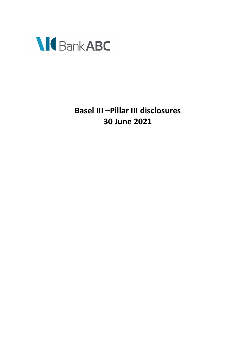

**Basel III –Pillar III disclosures 30 June 2021**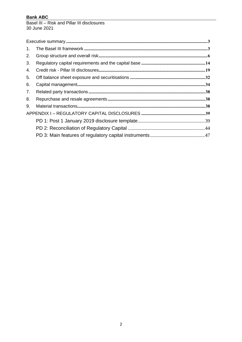Basel III - Risk and Pillar III disclosures 30 June 2021

| $\mathbf{1}$ . |  |
|----------------|--|
| 2.             |  |
| 3.             |  |
| 4.             |  |
| 5.             |  |
| 6.             |  |
| 7.             |  |
| 8.             |  |
| 9.             |  |
|                |  |
|                |  |
|                |  |
|                |  |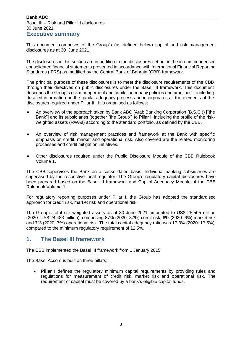### Basel III – Risk and Pillar III disclosures 30 June 2021

### <span id="page-2-0"></span>**Executive summary**

This document comprises of the Group's (as defined below) capital and risk management disclosures as at 30 June 2021.

The disclosures in this section are in addition to the disclosures set out in the interim condensed consolidated financial statements presented in accordance with International Financial Reporting Standards (IFRS) as modified by the Central Bank of Bahrain (CBB) framework.

The principal purpose of these disclosures is to meet the disclosure requirements of the CBB through their directives on public disclosures under the Basel III framework. This document describes the Group's risk management and capital adequacy policies and practices – including detailed information on the capital adequacy process and incorporates all the elements of the disclosures required under Pillar III. It is organised as follows:

- An overview of the approach taken by Bank ABC (Arab Banking Corporation (B.S.C.)) ["the Bank"] and its subsidiaries [together "the Group"] to Pillar I, including the profile of the riskweighted assets (RWAs) according to the standard portfolio, as defined by the CBB.
- An overview of risk management practices and framework at the Bank with specific emphasis on credit, market and operational risk. Also covered are the related monitoring processes and credit mitigation initiatives.
- Other disclosures required under the Public Disclosure Module of the CBB Rulebook Volume 1.

The CBB supervises the Bank on a consolidated basis. Individual banking subsidiaries are supervised by the respective local regulator. The Group's regulatory capital disclosures have been prepared based on the Basel III framework and Capital Adequacy Module of the CBB Rulebook Volume 1.

For regulatory reporting purposes under Pillar I, the Group has adopted the standardised approach for credit risk, market risk and operational risk.

The Group's total risk-weighted assets as at 30 June 2021 amounted to US\$ 25,505 million (2020: US\$ 24,483 million), comprising 87% (2020: 87%) credit risk, 6% (2020: 6%) market risk and 7% (2020: 7%) operational risk. The total capital adequacy ratio was 17.3% (2020: 17.5%), compared to the minimum regulatory requirement of 12.5%.

### <span id="page-2-1"></span>**1. The Basel III framework**

The CBB implemented the Basel III framework from 1 January 2015.

The Basel Accord is built on three pillars:

• **Pillar I** defines the regulatory minimum capital requirements by providing rules and regulations for measurement of credit risk, market risk and operational risk. The requirement of capital must be covered by a bank's eligible capital funds.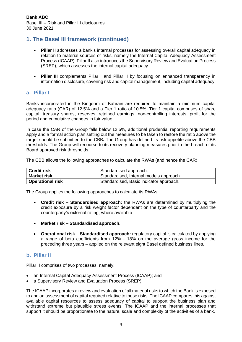# **1. The Basel III framework (continued)**

- **Pillar II** addresses a bank's internal processes for assessing overall capital adequacy in relation to material sources of risks, namely the Internal Capital Adequacy Assessment Process (ICAAP). Pillar II also introduces the Supervisory Review and Evaluation Process (SREP), which assesses the internal capital adequacy.
- **Pillar III** complements Pillar I and Pillar II by focusing on enhanced transparency in information disclosure, covering risk and capital management, including capital adequacy.

### **a. Pillar I**

Banks incorporated in the Kingdom of Bahrain are required to maintain a minimum capital adequacy ratio (CAR) of 12.5% and a Tier 1 ratio of 10.5%. Tier 1 capital comprises of share capital, treasury shares, reserves, retained earnings, non-controlling interests, profit for the period and cumulative changes in fair value.

In case the CAR of the Group falls below 12.5%, additional prudential reporting requirements apply and a formal action plan setting out the measures to be taken to restore the ratio above the target should be submitted to the CBB**.** The Group has defined its risk appetite above the CBB thresholds. The Group will recourse to its recovery planning measures prior to the breach of its Board approved risk thresholds.

The CBB allows the following approaches to calculate the RWAs (and hence the CAR).

| <b>Credit risk</b>      | Standardised approach.                  |
|-------------------------|-----------------------------------------|
| <b>Market risk</b>      | Standardised, Internal models approach. |
| <b>Operational risk</b> | Standardised, Basic indicator approach. |

The Group applies the following approaches to calculate its RWAs:

- **Credit risk – Standardised approach:** the RWAs are determined by multiplying the credit exposure by a risk weight factor dependent on the type of counterparty and the counterparty's external rating, where available.
- **Market risk – Standardised approach.**
- **Operational risk – Standardised approach:** regulatory capital is calculated by applying a range of beta coefficients from 12% - 18% on the average gross income for the preceding three years – applied on the relevant eight Basel defined business lines.

#### **b. Pillar II**

Pillar II comprises of two processes, namely:

- an Internal Capital Adequacy Assessment Process (ICAAP); and
- a Supervisory Review and Evaluation Process (SREP).

The ICAAP incorporates a review and evaluation of all material risks to which the Bank is exposed to and an assessment of capital required relative to those risks. The ICAAP compares this against available capital resources to assess adequacy of capital to support the business plan and withstand extreme but plausible stress events. The ICAAP and the internal processes that support it should be proportionate to the nature, scale and complexity of the activities of a bank.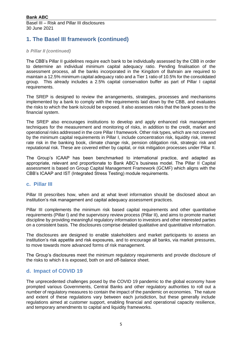# **1. The Basel III framework (continued)**

#### *b Pillar II (continued)*

The CBB's Pillar II guidelines require each bank to be individually assessed by the CBB in order to determine an individual minimum capital adequacy ratio. Pending finalisation of the assessment process, all the banks incorporated in the Kingdom of Bahrain are required to maintain a 12.5% minimum capital adequacy ratio and a Tier 1 ratio of 10.5% for the consolidated group. This already includes a 2.5% capital conservation buffer as part of Pillar I capital requirements.

The SREP is designed to review the arrangements, strategies, processes and mechanisms implemented by a bank to comply with the requirements laid down by the CBB, and evaluates the risks to which the bank is/could be exposed. It also assesses risks that the bank poses to the financial system.

The SREP also encourages institutions to develop and apply enhanced risk management techniques for the measurement and monitoring of risks, in addition to the credit, market and operational risks addressed in the core Pillar I framework. Other risk types, which are not covered by the minimum capital requirements in Pillar I, include concentration risk, liquidity risk, interest rate risk in the banking book, climate change risk, pension obligation risk, strategic risk and reputational risk. These are covered either by capital, or risk mitigation processes under Pillar II.

The Group's ICAAP has been benchmarked to international practice, and adapted as appropriate, relevant and proportionate to Bank ABC's business model. The Pillar II Capital assessment is based on Group Capital Management Framework (GCMF) which aligns with the CBB's ICAAP and IST (Integrated Stress Testing) module requirements.

#### **c. Pillar III**

Pillar III prescribes how, when and at what level information should be disclosed about an institution's risk management and capital adequacy assessment practices.

Pillar III complements the minimum risk based capital requirements and other quantitative requirements (Pillar I) and the supervisory review process (Pillar II), and aims to promote market discipline by providing meaningful regulatory information to investors and other interested parties on a consistent basis. The disclosures comprise detailed qualitative and quantitative information.

The disclosures are designed to enable stakeholders and market participants to assess an institution's risk appetite and risk exposures, and to encourage all banks, via market pressures, to move towards more advanced forms of risk management.

The Group's disclosures meet the minimum regulatory requirements and provide disclosure of the risks to which it is exposed, both on and off-balance sheet.

### **d. Impact of COVID 19**

The unprecedented challenges posed by the COVID 19 pandemic to the global economy have prompted various Governments, Central Banks and other regulatory authorities to roll out a number of regulatory measures to contain the impact of the pandemic on economies. The nature and extent of these regulations vary between each jurisdiction, but these generally include regulations aimed at customer support, enabling financial and operational capacity resilience, and temporary amendments to capital and liquidity frameworks.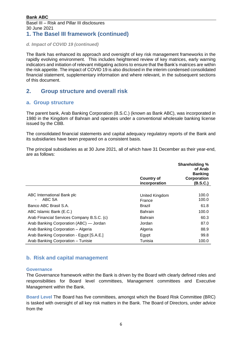# **1. The Basel III framework (continued)**

*d. Impact of COVID 19 (continued)*

The Bank has enhanced its approach and oversight of key risk management frameworks in the rapidly evolving environment. This includes heightened review of key matrices, early warning indicators and initiation of relevant mitigating actions to ensure that the Bank's matrices are within the risk appetite. The impact of COVID 19 is also disclosed in the interim condensed consolidated financial statement, supplementary information and where relevant, in the subsequent sections of this document.

# <span id="page-5-0"></span>**2. Group structure and overall risk**

### **a. Group structure**

The parent bank, Arab Banking Corporation (B.S.C.) (known as Bank ABC), was incorporated in 1980 in the Kingdom of Bahrain and operates under a conventional wholesale banking license issued by the CBB.

The consolidated financial statements and capital adequacy regulatory reports of the Bank and its subsidiaries have been prepared on a consistent basis.

The principal subsidiaries as at 30 June 2021, all of which have 31 December as their year-end, are as follows:

|                                                        | <b>Country of</b><br>incorporation | <b>Shareholding %</b><br>of Arab<br><b>Banking</b><br>Corporation<br>(B.S.C.) |
|--------------------------------------------------------|------------------------------------|-------------------------------------------------------------------------------|
|                                                        |                                    |                                                                               |
| ABC International Bank plc<br>ABC SA<br>$\blacksquare$ | United Kingdom<br>France           | 100.0<br>100.0                                                                |
| Banco ABC Brasil S.A.                                  | Brazil                             | 61.8                                                                          |
| ABC Islamic Bank (E.C.)                                | <b>Bahrain</b>                     | 100.0                                                                         |
| Arab Financial Services Company B.S.C. (c)             | <b>Bahrain</b>                     | 60.3                                                                          |
| Arab Banking Corporation (ABC) — Jordan                | Jordan                             | 87.0                                                                          |
| Arab Banking Corporation - Algeria                     | Algeria                            | 88.9                                                                          |
| Arab Banking Corporation - Egypt [S.A.E.]              | Egypt                              | 99.8                                                                          |
| Arab Banking Corporation - Tunisie                     | Tunisia                            | 100.0                                                                         |

### **b. Risk and capital management**

#### **Governance**

The Governance framework within the Bank is driven by the Board with clearly defined roles and responsibilities for Board level committees, Management committees and Executive Management within the Bank.

**Board Level** The Board has five committees, amongst which the Board Risk Committee (BRC) is tasked with oversight of all key risk matters in the Bank. The Board of Directors, under advice from the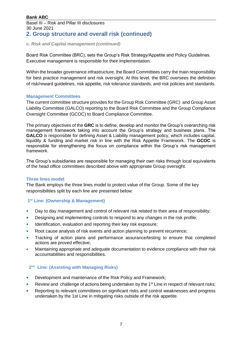Basel III – Risk and Pillar III disclosures 30 June 2021 **2. Group structure and overall risk (continued)**

#### *c. Risk and Capital management (continued)*

Board Risk Committee (BRC), sets the Group's Risk Strategy/Appetite and Policy Guidelines. Executive management is responsible for their implementation.

Within the broader governance infrastructure, the Board Committees carry the main responsibility for best practice management and risk oversight. At this level, the BRC oversees the definition of risk/reward guidelines, risk appetite, risk tolerance standards, and risk policies and standards.

#### **Management Committees**

The current committee structure provides for the Group Risk Committee (GRC) and Group Asset Liability Committee (GALCO) reporting to the Board Risk Committee and the Group Compliance Oversight Committee (GCOC) to Board Compliance Committee.

The primary objectives of the **GRC** is to define, develop and monitor the Group's overarching risk management framework taking into account the Group's strategy and business plans. The **GALCO** is responsible for defining Asset & Liability management policy, which includes capital, liquidity & funding and market risk in line with the Risk Appetite Framework. The **GCOC** is responsible for strengthening the focus on compliance within the Group's risk management framework.

The Group's subsidiaries are responsible for managing their own risks through local equivalents of the head office committees described above with appropriate Group oversight.

#### **Three lines model**

The Bank employs the three lines model to protect value of the Group. Some of the key responsibilities split by each line are presented below:

#### **1 st Line: (Ownership & Management)**

- Day to day management and control of relevant risk related to their area of responsibility;
- Designing and implementing controls to respond to any changes in the risk profile;
- Identification, evaluation and reporting their key risk exposure;
- Root cause analysis of risk events and action planning to prevent recurrence;
- Tracking of action plans and performance assurance/testing to ensure that completed actions are proved effective;
- Maintaining appropriate and adequate documentation to evidence compliance with their risk accountabilities and responsibilities.

#### **2 nd Line: (Assisting with Managing Risks)**

- Development and maintenance of the Risk Policy and Framework;
- Review and challenge of actions being undertaken by the  $1<sup>st</sup>$  Line in respect of relevant risks;
- Reporting to relevant committees on significant risks and control weaknesses and progress undertaken by the 1st Line in mitigating risks outside of the risk appetite.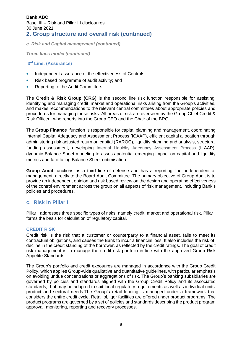# **2. Group structure and overall risk (continued)**

*c. Risk and Capital management (continued)*

*Three lines model (continued)*

#### **3 rd Line: (Assurance)**

- Independent assurance of the effectiveness of Controls;
- Risk based programme of audit activity; and
- Reporting to the Audit Committee.

The **Credit & Risk Group (CRG)** is the second line risk function responsible for assisting, identifying and managing credit, market and operational risks arising from the Group's activities, and makes recommendations to the relevant central committees about appropriate policies and procedures for managing these risks. All areas of risk are overseen by the Group Chief Credit & Risk Officer, who reports into the Group CEO and the Chair of the BRC.

The **Group Finance** function is responsible for capital planning and management, coordinating Internal Capital Adequacy and Assessment Process (ICAAP), efficient capital allocation through administering risk adjusted return on capital (RAROC), liquidity planning and analysis, structural funding assessment, developing Internal Liquidity Adequacy Assessment Process (ILAAP), dynamic Balance Sheet modeling to assess potential emerging impact on capital and liquidity metrics and facilitating Balance Sheet optimisation.

**Group Audit** functions as a third line of defense and has a reporting line, independent of management, directly to the Board Audit Committee. The primary objective of Group Audit is to provide an independent opinion and risk based review on the design and operating effectiveness of the control environment across the group on all aspects of risk management, including Bank's policies and procedures.

#### **c. Risk in Pillar I**

Pillar I addresses three specific types of risks, namely credit, market and operational risk. Pillar I forms the basis for calculation of regulatory capital.

#### **CREDIT RISK**

Credit risk is the risk that a customer or counterparty to a financial asset, fails to meet its contractual obligations, and causes the Bank to incur a financial loss. It also includes the risk of decline in the credit standing of the borrower, as reflected by the credit ratings. The goal of credit risk management is to manage the credit risk portfolio in line with the approved Group Risk Appetite Standards.

The Group's portfolio and credit exposures are managed in accordance with the Group Credit Policy, which applies Group-wide qualitative and quantitative guidelines, with particular emphasis on avoiding undue concentrations or aggregations of risk. The Group's banking subsidiaries are governed by policies and standards aligned with the Group Credit Policy and its associated standards, but may be adapted to suit local regulatory requirements as well as individual units' product and sectoral needs.The Group's retail lending is managed under a framework that considers the entire credit cycle. Retail obligor facilities are offered under product programs. The product programs are governed by a set of policies and standards describing the product program approval, monitoring, reporting and recovery processes.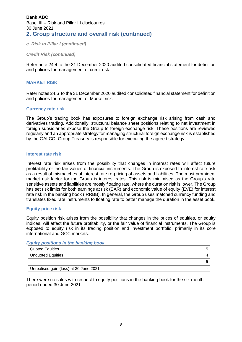Basel III – Risk and Pillar III disclosures 30 June 2021 **2. Group structure and overall risk (continued)**

*c. Risk in Pillar I (continued)*

*Credit Risk (continued)*

Refer note 24.4 to the 31 December 2020 audited consolidated financial statement for definition and policies for management of credit risk.

#### **MARKET RISK**

Refer notes 24.6 to the 31 December 2020 audited consolidated financial statement for definition and policies for management of Market risk.

#### **Currency rate risk**

The Group's trading book has exposures to foreign exchange risk arising from cash and derivatives trading. Additionally, structural balance sheet positions relating to net investment in foreign subsidiaries expose the Group to foreign exchange risk. These positions are reviewed regularly and an appropriate strategy for managing structural foreign exchange risk is established by the GALCO. Group Treasury is responsible for executing the agreed strategy.

#### **Interest rate risk**

Interest rate risk arises from the possibility that changes in interest rates will affect future profitability or the fair values of financial instruments. The Group is exposed to interest rate risk as a result of mismatches of interest rate re-pricing of assets and liabilities. The most prominent market risk factor for the Group is interest rates. This risk is minimised as the Group's rate sensitive assets and liabilities are mostly floating rate, where the duration risk is lower. The Group has set risk limits for both earnings at risk (EAR) and economic value of equity (EVE) for interest rate risk in the banking book (IRRBB). In general, the Group uses matched currency funding and translates fixed rate instruments to floating rate to better manage the duration in the asset book.

#### **Equity price risk**

Equity position risk arises from the possibility that changes in the prices of equities, or equity indices, will affect the future profitability, or the fair value of financial instruments. The Group is exposed to equity risk in its trading position and investment portfolio, primarily in its core international and GCC markets.

#### *Equity positions in the banking book*

| <b>Quoted Equities</b>                 |   |
|----------------------------------------|---|
| <b>Unquoted Equities</b>               |   |
|                                        |   |
| Unrealised gain (loss) at 30 June 2021 | - |

There were no sales with respect to equity positions in the banking book for the six-month period ended 30 June 2021.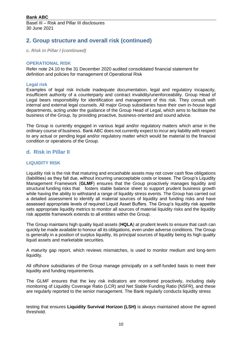# **2. Group structure and overall risk (continued)**

*c. Risk in Pillar I (continued)*

#### **OPERATIONAL RISK**

Refer note 24.10 to the 31 December 2020 audited consolidated financial statement for definition and policies for management of Operational Risk

#### **Legal risk**

Examples of legal risk include inadequate documentation, legal and regulatory incapacity, insufficient authority of a counterparty and contract invalidity/unenforceability. Group Head of Legal bears responsibility for identification and management of this risk. They consult with internal and external legal counsels. All major Group subsidiaries have their own in-house legal departments, acting under the guidance of the Group Head of Legal, which aims to facilitate the business of the Group, by providing proactive, business-oriented and sound advice.

The Group is currently engaged in various legal and/or regulatory matters which arise in the ordinary course of business. Bank ABC does not currently expect to incur any liability with respect to any actual or pending legal and/or regulatory matter which would be material to the financial condition or operations of the Group.

### **d. Risk in Pillar II**

#### **LIQUIDITY RISK**

Liquidity risk is the risk that maturing and encashable assets may not cover cash flow obligations (liabilities) as they fall due, without incurring unacceptable costs or losses. The Group's Liquidity Management Framework (**GLMF**) ensures that the Group proactively manages liquidity and structural funding risks that fosters stable balance sheet to support prudent business growth while having the ability to withstand a range of liquidity stress events. The Group has carried out a detailed assessment to identify all material sources of liquidity and funding risks and have assessed appropriate levels of required Liquid Asset Buffers. The Group's liquidity risk appetite sets appropriate liquidity metrics to monitor all sources of material liquidity risks and the liquidity risk appetite framework extends to all entities within the Group.

The Group maintains high quality liquid assets (**HQLA**) at prudent levels to ensure that cash can quickly be made available to honour all its obligations, even under adverse conditions. The Group is generally in a position of surplus liquidity, its principal sources of liquidity being its high quality liquid assets and marketable securities.

A maturity gap report, which reviews mismatches, is used to monitor medium and long-term liquidity.

All offshore subsidiaries of the Group manage principally on a self-funded basis to meet their liquidity and funding requirements.

The GLMF ensures that the key risk indicators are monitored proactively, including daily monitoring of Liquidity Coverage Ratio (LCR) and Net Stable Funding Ratio (NSFR), and these are regularly reported to the senior management. The Bank regularly conducts liquidity stress

testing that ensures **Liquidity Survival Horizon (LSH)** is always maintained above the agreed threshold.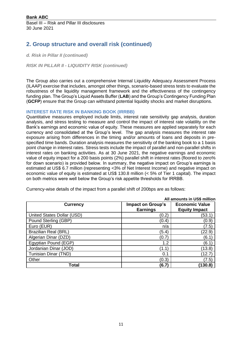# **2. Group structure and overall risk (continued)**

#### *d. Risk in Pillar II (continued)*

*RISK IN PILLAR II - LIQUIDITY RISK (continued)*

The Group also carries out a comprehensive Internal Liquidity Adequacy Assessment Process (ILAAP) exercise that includes, amongst other things, scenario-based stress tests to evaluate the robustness of the liquidity management framework and the effectiveness of the contingency funding plan. The Group's Liquid Assets Buffer (**LAB**) and the Group's Contingency Funding Plan (**GCFP**) ensure that the Group can withstand potential liquidity shocks and market disruptions.

#### **INTEREST RATE RISK IN BANKING BOOK (IRRBB)**

Quantitative measures employed include limits, interest rate sensitivity gap analysis, duration analysis, and stress testing to measure and control the impact of interest rate volatility on the Bank's earnings and economic value of equity. These measures are applied separately for each currency and consolidated at the Group's level. The gap analysis measures the interest rate exposure arising from differences in the timing and/or amounts of loans and deposits in prespecified time bands. Duration analysis measures the sensitivity of the banking book to a 1 basis point change in interest rates. Stress tests include the impact of parallel and non-parallel shifts in interest rates on banking activities. As at 30 June 2021, the negative earnings and economic value of equity impact for a 200 basis points (2%) parallel shift in interest rates (floored to zero% for down scenario) is provided below. In summary, the negative impact on Group's earnings is estimated at US\$ 6.7 million (representing <3% of Net Interest Income) and negative impact on economic value of equity is estimated at US\$ 130.8 million (< 5% of Tier 1 capital). The impact on both metrics were well below the Group's risk appetite thresholds for IRRBB.

| All amounts in US\$ million |                          |                       |  |  |  |
|-----------------------------|--------------------------|-----------------------|--|--|--|
| <b>Currency</b>             | <b>Impact on Group's</b> | <b>Economic Value</b> |  |  |  |
|                             | <b>Earnings</b>          | <b>Equity Impact</b>  |  |  |  |
| United States Dollar (USD)  | (0.2)                    | (53.1)                |  |  |  |
| Pound Sterling (GBP)        | (0.4)                    | (0.9)                 |  |  |  |
| Euro (EUR)                  | n/a                      | (7.5)                 |  |  |  |
| <b>Brazilian Real (BRL)</b> | (5.4)                    | (22.9)                |  |  |  |
| Algerian Dinar (DZD)        | (0.7)                    | (6.1)                 |  |  |  |
| Egyptian Pound (EGP)        | 1.2                      | (6.1)                 |  |  |  |
| Jordanian Dinar (JOD)       | (1.1)                    | (13.8)                |  |  |  |
| Tunisian Dinar (TND)        | 0.1                      | (12.7)                |  |  |  |
| Other                       | (0.3)                    | (7.5)                 |  |  |  |
| <b>Total</b>                | (6.7)                    | (130.8)               |  |  |  |

Currency-wise details of the impact from a parallel shift of 200bps are as follows: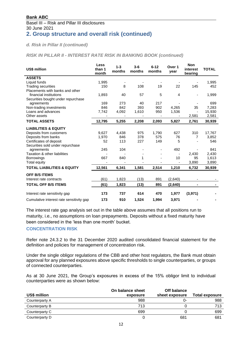# **2. Group structure and overall risk (continued)**

#### *d. Risk in Pillar II (continued)*

*RISK IN PILLAR II - INTEREST RATE RISK IN BANKING BOOK (continued)*

| US\$ million                             | Less<br>than 1<br>month | $1 - 3$<br>months        | $3-6$<br>months | $6 - 12$<br>months       | Over 1<br>year | <b>Non</b><br>interest<br>bearing | <b>TOTAL</b> |
|------------------------------------------|-------------------------|--------------------------|-----------------|--------------------------|----------------|-----------------------------------|--------------|
| <b>ASSETS</b>                            |                         |                          |                 |                          |                |                                   |              |
| Liquid funds                             | 1,995                   | $\overline{\phantom{a}}$ |                 | $\overline{\phantom{a}}$ |                | $\overline{\phantom{a}}$          | 1,995        |
| <b>Trading securities</b>                | 150                     | 8                        | 108             | 19                       | 22             | 145                               | 452          |
| Placements with banks and other          |                         |                          |                 |                          |                |                                   |              |
| financial institutions                   | 1,893                   | 40                       | 57              | 5                        | $\overline{4}$ | $\overline{\phantom{0}}$          | 1,999        |
| Securities bought under repurchase       |                         |                          |                 |                          |                |                                   |              |
| agreements                               | 169                     | 273                      | 40              | 217                      |                |                                   | 699          |
| Non-trading investments                  | 846                     | 842                      | 393             | 902                      | 4,265          | 35                                | 7,283        |
| Loans and advances                       | 7,742                   | 4,092                    | 1,610           | 950                      | 1,536          |                                   | 15,930       |
| Other assets                             |                         |                          |                 |                          |                | 2,581                             | 2,581        |
| <b>TOTAL ASSETS</b>                      | 12,795                  | 5,255                    | 2,208           | 2,093                    | 5,827          | 2,761                             | 30,939       |
| <b>LIABILITIES &amp; EQUITY</b>          |                         |                          |                 |                          |                |                                   |              |
| Deposits from customers                  | 9,627                   | 4,438                    | 975             | 1,790                    | 627            | 310                               | 17,767       |
| Deposits from banks                      | 1.970                   | 846                      | 378             | 575                      | 76             | 7                                 | 3,852        |
| Certificates of deposit                  | 52                      | 113                      | 227             | 149                      | 5              |                                   | 546          |
| Securities sold under repurchase         |                         |                          |                 |                          |                |                                   |              |
| agreements                               | 245                     | 104                      |                 |                          | 492            |                                   | 841          |
| Taxation & other liabilities             |                         |                          |                 |                          |                | 2,430                             | 2,430        |
| <b>Borrowings</b>                        | 667                     | 840                      | 1               |                          | 10             | 95                                | 1,613        |
| <b>Total equity</b>                      |                         |                          |                 |                          |                | 3,890                             | 3,890        |
| <b>TOTAL LIABILITIES &amp; EQUITY</b>    | 12.561                  | 6,341                    | 1.581           | 2,514                    | 1,210          | 6,732                             | 30,939       |
| <b>OFF B/S ITEMS</b>                     |                         |                          |                 |                          |                |                                   |              |
| Interest rate contracts                  | (61)                    | 1,823                    | (13)            | 891                      | (2,640)        |                                   |              |
| <b>TOTAL OFF B/S ITEMS</b>               | (61)                    | 1,823                    | (13)            | 891                      | (2,640)        |                                   |              |
|                                          |                         |                          |                 |                          |                |                                   |              |
| Interest rate sensitivity gap            | 173                     | 737                      | 614             | 470                      | 1,977          | (3,971)                           |              |
| Cumulative interest rate sensitivity gap | 173                     | 910                      | 1,524           | 1,994                    | 3,971          |                                   |              |

The interest rate gap analysis set out in the table above assumes that all positions run to maturity, i.e., no assumptions on loan prepayments. Deposits without a fixed maturity have been considered in the 'less than one month' bucket.

#### **CONCENTRATION RISK**

Refer note 24.3.2 to the 31 December 2020 audited consolidated financial statement for the definition and policies for management of concentration risk.

Under the single obligor regulations of the CBB and other host regulators, the Bank must obtain approval for any planned exposures above specific thresholds to single counterparties, or groups of connected counterparties.

As at 30 June 2021, the Group's exposures in excess of the 15% obligor limit to individual counterparties were as shown below:

|                | On balance sheet | Off balance    |                       |
|----------------|------------------|----------------|-----------------------|
| US\$ million   | exposure         | sheet exposure | <b>Total exposure</b> |
| Counterparty A | 988              | 0-             | 988                   |
| Counterparty B | 713              |                | 713                   |
| Counterparty C | 699              |                | 699                   |
| Counterparty D |                  | 681            | 681                   |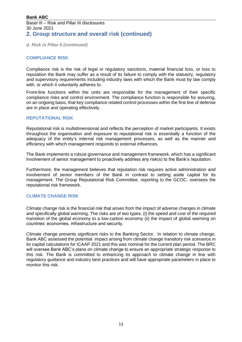Basel III – Risk and Pillar III disclosures 30 June 2021 **2. Group structure and overall risk (continued)**

*d. Risk in Pillar II (continued)*

#### **COMPLIANCE RISK**

Compliance risk is the risk of legal or regulatory sanctions, material financial loss, or loss to reputation the Bank may suffer as a result of its failure to comply with the statutory, regulatory and supervisory requirements including industry laws with which the Bank must by law comply with, or which it voluntarily adheres to.

Front-line functions within the units are responsible for the management of their specific compliance risks and control environment. The compliance function is responsible for assuring, on an ongoing basis, that key compliance related control processes within the first line of defense are in place and operating effectively.

#### **REPUTATIONAL RISK**

Reputational risk is multidimensional and reflects the perception of market participants. It exists throughout the organisation and exposure to reputational risk is essentially a function of the adequacy of the entity's internal risk management processes, as well as the manner and efficiency with which management responds to external influences.

The Bank implements a robust governance and management framework, which has a significant involvement of senior management to proactively address any risk(s) to the Bank's reputation.

Furthermore, the management believes that reputation risk requires active administration and involvement of senior members of the Bank in contrast to setting aside capital for its management. The Group Reputational Risk Committee, reporting to the GCOC, oversees the reputational risk framework.

#### **CLIMATE CHANGE RISK**

Climate change risk is the financial risk that arises from the impact of adverse changes in climate and specifically global warming. The risks are of two types, (i) the speed and cost of the required transition of the global economy to a low-carbon economy (ii) the impact of global warming on countries' economies, infrastructure and security.

Climate change presents significant risks to the Banking Sector. In relation to climate change, Bank ABC assessed the potential impact arising from climate change transitory risk scenarios in its capital calculations for ICAAP 2021 and this was nominal for the current plan period. The BRC will oversee Bank ABC's plans on climate change to ensure an appropriate strategic response to this risk. The Bank is committed to enhancing its approach to climate change in line with regulatory guidance and industry best practices and will have appropriate parameters in place to monitor this risk.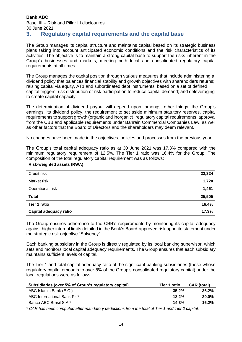Basel III – Risk and Pillar III disclosures 30 June 2021

# <span id="page-13-0"></span>**3. Regulatory capital requirements and the capital base**

The Group manages its capital structure and maintains capital based on its strategic business plans taking into account anticipated economic conditions and the risk characteristics of its activities. The objective is to maintain a strong capital base to support the risks inherent in the Group's businesses and markets, meeting both local and consolidated regulatory capital requirements at all times.

The Group manages the capital position through various measures that include administering a dividend policy that balances financial stability and growth objectives with shareholders returns; raising capital via equity, AT1 and subordinated debt instruments. based on a set of defined capital triggers; risk distribution or risk participation to reduce capital demand; and deleveraging to create capital capacity.

The determination of dividend payout will depend upon, amongst other things, the Group's earnings, its dividend policy, the requirement to set aside minimum statutory reserves, capital requirements to support growth (organic and inorganic), regulatory capital requirements, approval from the CBB and applicable requirements under Bahrain Commercial Companies Law, as well as other factors that the Board of Directors and the shareholders may deem relevant.

No changes have been made in the objectives, policies and processes from the previous year.

The Group's total capital adequacy ratio as at 30 June 2021 was 17.3% compared with the minimum regulatory requirement of 12.5%. The Tier 1 ratio was 16.4% for the Group. The composition of the total regulatory capital requirement was as follows:

#### **Risk-weighted assets (RWA)**

| Credit risk            | 22,324 |
|------------------------|--------|
| Market risk            | 1,720  |
| Operational risk       | 1,461  |
| <b>Total</b>           | 25,505 |
| Tier 1 ratio           | 16.4%  |
| Capital adequacy ratio | 17.3%  |

The Group ensures adherence to the CBB's requirements by monitoring its capital adequacy against higher internal limits detailed in the Bank's Board-approved risk appetite statement under the strategic risk objective "Solvency".

Each banking subsidiary in the Group is directly regulated by its local banking supervisor, which sets and monitors local capital adequacy requirements. The Group ensures that each subsidiary maintains sufficient levels of capital.

The Tier 1 and total capital adequacy ratio of the significant banking subsidiaries (those whose regulatory capital amounts to over 5% of the Group's consolidated regulatory capital) under the local regulations were as follows:

| Subsidiaries (over 5% of Group's regulatory capital) | Tier 1 ratio | <b>CAR</b> (total) |
|------------------------------------------------------|--------------|--------------------|
| ABC Islamic Bank (E.C.)                              | $35.2\%$     | $36.2\%$           |
| ABC International Bank Plc*                          | 18.2%        | $20.0\%$           |
| Banco ABC Brasil S.A.*                               | 14.3%        | 16.2%              |
|                                                      |              |                    |

*\* CAR has been computed after mandatory deductions from the total of Tier 1 and Tier 2 capital.*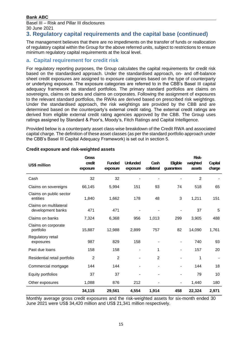Basel III – Risk and Pillar III disclosures 30 June 2021

## **3. Regulatory capital requirements and the capital base (continued)**

The management believes that there are no impediments on the transfer of funds or reallocation of regulatory capital within the Group for the above referred units, subject to restrictions to ensure minimum regulatory capital requirements at the local level.

### **a. Capital requirement for credit risk**

For regulatory reporting purposes, the Group calculates the capital requirements for credit risk based on the standardised approach. Under the standardised approach, on- and off-balance sheet credit exposures are assigned to exposure categories based on the type of counterparty or underlying exposure. The exposure categories are referred to in the CBB's Basel III capital adequacy framework as standard portfolios. The primary standard portfolios are claims on sovereigns, claims on banks and claims on corporates. Following the assignment of exposures to the relevant standard portfolios, the RWAs are derived based on prescribed risk weightings. Under the standardised approach, the risk weightings are provided by the CBB and are determined based on the counterparty's external credit rating. The external credit ratings are derived from eligible external credit rating agencies approved by the CBB. The Group uses ratings assigned by Standard & Poor's, Moody's, Fitch Ratings and Capital Intelligence.

Provided below is a counterparty asset class-wise breakdown of the Credit RWA and associated capital charge. The definition of these asset classes (as per the standard portfolio approach under the CBB's Basel III Capital Adequacy Framework) is set out in section 5.

| <b>US\$ million</b>                         | <b>Gross</b><br>credit<br>exposure | <b>Funded</b><br>exposure | <b>Unfunded</b><br>exposure | Cash<br>collateral | <b>Eligible</b><br>guarantees | <b>Risk-</b><br>weighted<br>assets | Capital<br>charge |
|---------------------------------------------|------------------------------------|---------------------------|-----------------------------|--------------------|-------------------------------|------------------------------------|-------------------|
| Cash                                        | 32                                 | 32                        |                             |                    |                               | $\overline{2}$                     |                   |
| Claims on sovereigns                        | 66,145                             | 5,994                     | 151                         | 93                 | 74                            | 518                                | 65                |
| Claims on public sector<br>entities         | 1,840                              | 1,662                     | 178                         | 48                 | 3                             | 1,211                              | 151               |
| Claims on multilateral<br>development banks | 471                                | 471                       |                             |                    |                               | 37                                 | 5                 |
| Claims on banks                             | 7,324                              | 6,368                     | 956                         | 1,013              | 299                           | 3,905                              | 488               |
| Claims on corporate<br>portfolio            | 15,887                             | 12,988                    | 2,899                       | 757                | 82                            | 14,090                             | 1,761             |
| Regulatory retail<br>exposures              | 987                                | 829                       | 158                         |                    |                               | 740                                | 93                |
| Past due loans                              | 158                                | 158                       | ۰                           | 1                  |                               | 157                                | 20                |
| Residential retail portfolio                | $\overline{2}$                     | $\overline{2}$            |                             | $\overline{2}$     |                               | 1                                  |                   |
| Commercial mortgage                         | 144                                | 144                       |                             |                    |                               | 144                                | 18                |
| Equity portfolios                           | 37                                 | 37                        |                             |                    |                               | 79                                 | 10                |
| Other exposures                             | 1,088                              | 876                       | 212                         |                    |                               | 1,440                              | 180               |
|                                             | 34,115                             | 29,561                    | 4,554                       | 1,914              | 458                           | 22,324                             | 2,971             |

#### **Credit exposure and risk-weighted assets**

Monthly average gross credit exposures and the risk-weighted assets for six-month ended 30 June 2021 were US\$ 34,420 million and US\$ 21,341 million respectively.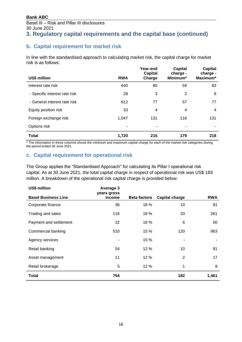## **b. Capital requirement for market risk**

In line with the standardised approach to calculating market risk, the capital charge for market risk is as follows:

|                               |                          | Year-end<br><b>Capital</b> | Capital<br>charge - | <b>Capital</b><br>charge - |
|-------------------------------|--------------------------|----------------------------|---------------------|----------------------------|
| US\$ million                  | <b>RWA</b>               | Charge                     | Minimum*            | Maximum*                   |
| Interest rate risk            | 640                      | 80                         | 59                  | 83                         |
| - Specific interest rate risk | 28                       | 3                          | 2                   | 6                          |
| - General interest rate risk  | 612                      | 77                         | 57                  | 77                         |
| Equity position risk          | 33                       | 4                          | 4                   | $\overline{4}$             |
| Foreign exchange risk         | 1,047                    | 131                        | 116                 | 131                        |
| Options risk                  | $\overline{\phantom{a}}$ | ٠                          | ۰                   |                            |
| <b>Total</b>                  | 1,720                    | 215                        | 179                 | 218                        |

\* The information in these columns shows the minimum and maximum capital charge for each of the market risk categories during the period ended 30 June 2021.

### **c. Capital requirement for operational risk**

The Group applies the "Standardised Approach" for calculating its Pillar I operational risk capital. As at 30 June 2021, the total capital charge in respect of operational risk was US\$ 183 million. A breakdown of the operational risk capital charge is provided below:

| US\$ million               | Average 3<br>years gross |                     |                       |            |
|----------------------------|--------------------------|---------------------|-----------------------|------------|
| <b>Basel Business Line</b> | income                   | <b>Beta factors</b> | <b>Capital charge</b> | <b>RWA</b> |
| Corporate finance          | 36                       | 18 %                | 10                    | 81         |
| Trading and sales          | 116                      | 18 %                | 33                    | 261        |
| Payment and settlement     | 22                       | 18 %                | 6                     | 50         |
| Commercial banking         | 510                      | 15 %                | 120                   | 963        |
| Agency services            |                          | 15 %                |                       |            |
| Retail banking             | 54                       | 12 %                | 10                    | 81         |
| Asset management           | 11                       | 12 %                | 2                     | 17         |
| Retail brokerage           | 5                        | 12 %                | 1                     | 8          |
| <b>Total</b>               | 754                      |                     | 182                   | 1,461      |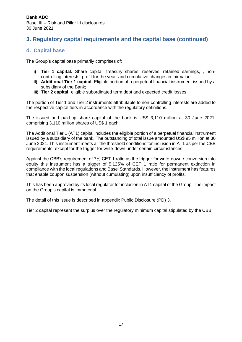# **3. Regulatory capital requirements and the capital base (continued)**

### **d. Capital base**

The Group's capital base primarily comprises of:

- **Tier 1 capital:** Share capital, treasury shares, reserves, retained earnings, , noncontrolling interests, profit for the year and cumulative changes in fair value;
- **ii) Additional Tier 1 capital**: Eligible portion of a perpetual financial instrument issued by a subsidiary of the Bank;
- **iii) Tier 2 capital:** eligible subordinated term debt and expected credit losses.

The portion of Tier 1 and Tier 2 instruments attributable to non-controlling interests are added to the respective capital tiers in accordance with the regulatory definitions.

The issued and paid-up share capital of the bank is US\$ 3,110 million at 30 June 2021, comprising 3,110 million shares of US\$ 1 each.

The Additional Tier 1 (AT1) capital includes the eligible portion of a perpetual financial instrument issued by a subsidiary of the bank. The outstanding of total issue amounted US\$ 95 million at 30 June 2021. This instrument meets all the threshold conditions for inclusion in AT1 as per the CBB requirements, except for the trigger for write-down under certain circumstances.

Against the CBB's requirement of 7% CET 1 ratio as the trigger for write-down / conversion into equity this instrument has a trigger of 5.125% of CET 1 ratio for permanent extinction in compliance with the local regulations and Basel Standards. However, the instrument has features that enable coupon suspension (without cumulating) upon insufficiency of profits.

This has been approved by its local regulator for inclusion in AT1 capital of the Group. The impact on the Group's capital is immaterial.

The detail of this issue is described in appendix Public Disclosure (PD) 3.

Tier 2 capital represent the surplus over the regulatory minimum capital stipulated by the CBB.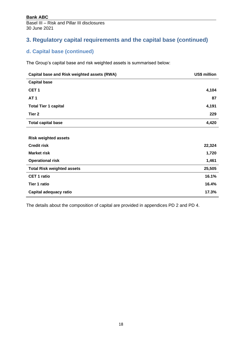# **3. Regulatory capital requirements and the capital base (continued)**

# **d. Capital base (continued)**

The Group's capital base and risk weighted assets is summarised below:

| Capital base and Risk weighted assets (RWA) | US\$ million |
|---------------------------------------------|--------------|
| <b>Capital base</b>                         |              |
| CET <sub>1</sub>                            | 4,104        |
| <b>AT1</b>                                  | 87           |
| <b>Total Tier 1 capital</b>                 | 4,191        |
| Tier <sub>2</sub>                           | 229          |
| <b>Total capital base</b>                   | 4,420        |
|                                             |              |
| <b>Risk weighted assets</b>                 |              |
| <b>Credit risk</b>                          | 22,324       |
| <b>Market risk</b>                          | 1,720        |
| <b>Operational risk</b>                     | 1,461        |
| <b>Total Risk weighted assets</b>           | 25,505       |
| <b>CET 1 ratio</b>                          | 16.1%        |
| <b>Tier 1 ratio</b>                         | 16.4%        |
| Capital adequacy ratio                      | 17.3%        |

The details about the composition of capital are provided in appendices PD 2 and PD 4.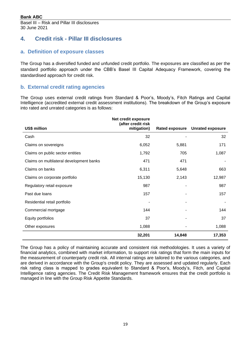# <span id="page-18-0"></span>**4. Credit risk - Pillar III disclosures**

### **a. Definition of exposure classes**

The Group has a diversified funded and unfunded credit portfolio. The exposures are classified as per the standard portfolio approach under the CBB's Basel III Capital Adequacy Framework, covering the standardised approach for credit risk.

### **b. External credit rating agencies**

The Group uses external credit ratings from Standard & Poor's, Moody's, Fitch Ratings and Capital Intelligence (accredited external credit assessment institutions). The breakdown of the Group's exposure into rated and unrated categories is as follows:

|                                          | Net credit exposure<br>(after credit risk |                       |                         |
|------------------------------------------|-------------------------------------------|-----------------------|-------------------------|
| US\$ million                             | mitigation)                               | <b>Rated exposure</b> | <b>Unrated exposure</b> |
| Cash                                     | 32                                        |                       | 32                      |
| Claims on sovereigns                     | 6,052                                     | 5,881                 | 171                     |
| Claims on public sector entities         | 1,792                                     | 705                   | 1,087                   |
| Claims on multilateral development banks | 471                                       | 471                   |                         |
| Claims on banks                          | 6,311                                     | 5,648                 | 663                     |
| Claims on corporate portfolio            | 15,130                                    | 2,143                 | 12,987                  |
| Regulatory retail exposure               | 987                                       |                       | 987                     |
| Past due loans                           | 157                                       |                       | 157                     |
| Residential retail portfolio             |                                           |                       |                         |
| Commercial mortgage                      | 144                                       |                       | 144                     |
| Equity portfolios                        | 37                                        |                       | 37                      |
| Other exposures                          | 1,088                                     |                       | 1,088                   |
|                                          | 32,201                                    | 14,848                | 17,353                  |

The Group has a policy of maintaining accurate and consistent risk methodologies. It uses a variety of financial analytics, combined with market information, to support risk ratings that form the main inputs for the measurement of counterparty credit risk. All internal ratings are tailored to the various categories, and are derived in accordance with the Group's credit policy. They are assessed and updated regularly. Each risk rating class is mapped to grades equivalent to Standard & Poor's, Moody's, Fitch, and Capital Intelligence rating agencies. The Credit Risk Management framework ensures that the credit portfolio is managed in line with the Group Risk Appetite Standards.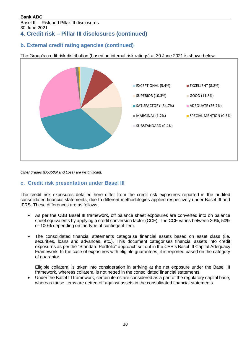Basel III – Risk and Pillar III disclosures 30 June 2021 **4. Credit risk – Pillar III disclosures (continued)**

### **b. External credit rating agencies (continued)**

The Group's credit risk distribution (based on internal risk ratings) at 30 June 2021 is shown below:



*Other grades (Doubtful and Loss) are insignificant.*

### **c. Credit risk presentation under Basel III**

The credit risk exposures detailed here differ from the credit risk exposures reported in the audited consolidated financial statements, due to different methodologies applied respectively under Basel III and IFRS. These differences are as follows:

- As per the CBB Basel III framework, off balance sheet exposures are converted into on balance sheet equivalents by applying a credit conversion factor (CCF). The CCF varies between 20%, 50% or 100% depending on the type of contingent item.
- The consolidated financial statements categorise financial assets based on asset class (i.e. securities, loans and advances, etc.). This document categorises financial assets into credit exposures as per the "Standard Portfolio" approach set out in the CBB's Basel III Capital Adequacy Framework. In the case of exposures with eligible guarantees, it is reported based on the category of guarantor.

Eligible collateral is taken into consideration in arriving at the net exposure under the Basel III framework, whereas collateral is not netted in the consolidated financial statements.

• Under the Basel III framework, certain items are considered as a part of the regulatory capital base, whereas these items are netted off against assets in the consolidated financial statements.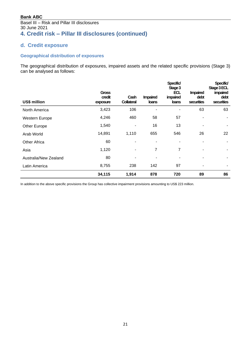### Basel III – Risk and Pillar III disclosures 30 June 2021 **4. Credit risk – Pillar III disclosures (continued)**

### **d. Credit exposure**

#### **Geographical distribution of exposures**

The geographical distribution of exposures, impaired assets and the related specific provisions (Stage 3) can be analysed as follows:

| US\$ million          | <b>Gross</b><br>credit<br>exposure | Cash<br>Collateral | <b>Impaired</b><br>loans | Specific/<br>Stage 3<br>ECL<br>impaired<br>loans | <b>Impaired</b><br>debt<br>securities | Specific/<br>Stage 3 ECL<br>impaired<br>debt<br>securities |
|-----------------------|------------------------------------|--------------------|--------------------------|--------------------------------------------------|---------------------------------------|------------------------------------------------------------|
| North America         | 3,423                              | 106                |                          |                                                  | 63                                    | 63                                                         |
| Western Europe        | 4,246                              | 460                | 58                       | 57                                               |                                       |                                                            |
| Other Europe          | 1,540                              |                    | 16                       | 13                                               | ٠                                     |                                                            |
| Arab World            | 14,891                             | 1,110              | 655                      | 546                                              | 26                                    | 22                                                         |
| <b>Other Africa</b>   | 60                                 | $\blacksquare$     | ۰                        | ۰                                                | ٠                                     |                                                            |
| Asia                  | 1,120                              |                    | 7                        | 7                                                |                                       |                                                            |
| Australia/New Zealand | 80                                 |                    |                          |                                                  |                                       |                                                            |
| Latin America         | 8,755                              | 238                | 142                      | 97                                               |                                       |                                                            |
|                       | 34,115                             | 1,914              | 878                      | 720                                              | 89                                    | 86                                                         |

In addition to the above specific provisions the Group has collective impairment provisions amounting to US\$ 223 million.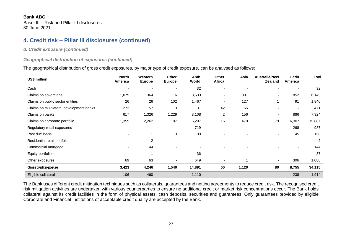Basel III – Risk and Pillar III disclosures 30 June 2021

## **4. Credit risk – Pillar III disclosures (continued)**

*d. Credit exposure (continued)*

#### *Geographical distribution of exposures (continued)*

The geographical distribution of gross credit exposures, by major type of credit exposure, can be analysed as follows:

| US\$ million                             | <b>North</b><br>America | Western<br><b>Europe</b> | <b>Other</b><br><b>Europe</b> | Arab<br>World  | <b>Other</b><br>Africa   | Asia  | <b>Australia/New</b><br><b>Zealand</b> | Latin<br>America         | Total          |
|------------------------------------------|-------------------------|--------------------------|-------------------------------|----------------|--------------------------|-------|----------------------------------------|--------------------------|----------------|
| Cash                                     |                         |                          |                               | 32             |                          |       |                                        |                          | 32             |
| Claims on sovereigns                     | 1,079                   | 364                      | 16                            | 3,533          | ٠                        | 301   | $\sim$                                 | 852                      | 6,145          |
| Claims on public sector entities         | 26                      | 26                       | 102                           | 1,467          |                          | 127   | 1                                      | 91                       | 1,840          |
| Claims on multilateral development banks | 273                     | 57                       | 3                             | 31             | 42                       | 65    | $\blacksquare$                         |                          | 471            |
| Claims on banks                          | 617                     | 1,326                    | 1,229                         | 3,108          | $\overline{2}$           | 156   | $\overline{\phantom{a}}$               | 886                      | 7,324          |
| Claims on corporate portfolio            | 1,359                   | 2,262                    | 187                           | 5,207          | 16                       | 470   | 79                                     | 6,307                    | 15,887         |
| Regulatory retail exposures              |                         |                          |                               | 719            | $\overline{\phantom{0}}$ |       | $\overline{\phantom{a}}$               | 268                      | 987            |
| Past due loans                           |                         |                          | 3                             | 109            |                          |       | $\overline{\phantom{a}}$               | 45                       | 158            |
| Residential retail portfolio             |                         | $\overline{2}$           |                               | $\blacksquare$ |                          |       | $\overline{\phantom{0}}$               | $\overline{\phantom{a}}$ | $\overline{2}$ |
| Commercial mortgage                      |                         | 144                      |                               |                |                          |       |                                        |                          | 144            |
| Equity portfolios                        |                         |                          |                               | 36             |                          |       | $\blacksquare$                         |                          | 37             |
| Other exposures                          | 69                      | 63                       |                               | 649            | ٠                        |       | $\sim$                                 | 306                      | 1,088          |
| Gross credit exposure                    | 3,423                   | 4,246                    | 1,540                         | 14,891         | 60                       | 1,120 | 80                                     | 8,755                    | 34,115         |
| Eligible collateral                      | 106                     | 460                      |                               | 1,110          |                          |       |                                        | 238                      | 1,914          |

The Bank uses different credit mitigation techniques such as collaterals, guarantees and netting agreements to reduce credit risk. The recognised credit risk mitigation activities are undertaken with various counterparties to ensure no additional credit or market risk concentrations occur. The Bank holds collateral against its credit facilities in the form of physical assets, cash deposits, securities and guarantees. Only guarantees provided by eligible Corporate and Financial Institutions of acceptable credit quality are accepted by the Bank.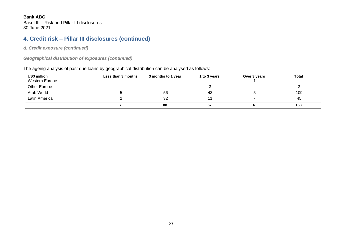Basel III – Risk and Pillar III disclosures 30 June 2021

# **4. Credit risk – Pillar III disclosures (continued)**

*d. Credit exposure (continued)*

*Geographical distribution of exposures (continued)*

The ageing analysis of past due loans by geographical distribution can be analysed as follows:

| US\$ million   | Less than 3 months | 3 months to 1 year | 1 to 3 years | Over 3 years | Total |
|----------------|--------------------|--------------------|--------------|--------------|-------|
| Western Europe |                    |                    |              |              |       |
| Other Europe   |                    |                    |              |              |       |
| Arab World     |                    | 56                 | 43           |              | 109   |
| Latin America  |                    | 32                 |              |              | 45    |
|                |                    | 88                 | 57           |              | 158   |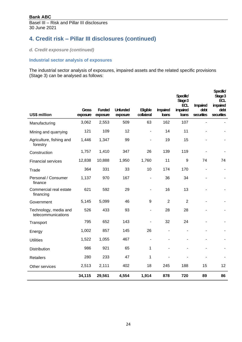# **4. Credit risk – Pillar III disclosures (continued)**

*d. Credit exposure (continued)*

### **Industrial sector analysis of exposures**

The industrial sector analysis of exposures, impaired assets and the related specific provisions (Stage 3) can be analysed as follows:

|                                             |                          |                           |                             |                               |                          | Specific/<br>Stage 3<br><b>ECL</b> | Impaired           | Specific/<br>Stage 3<br>ECL<br>impaired |
|---------------------------------------------|--------------------------|---------------------------|-----------------------------|-------------------------------|--------------------------|------------------------------------|--------------------|-----------------------------------------|
| <b>US\$ million</b>                         | <b>Gross</b><br>exposure | <b>Funded</b><br>exposure | <b>Unfunded</b><br>exposure | <b>Eligible</b><br>collateral | Impaired<br><b>loans</b> | impaired<br>loans                  | debt<br>securities | debt<br>securities                      |
| Manufacturing                               | 3,062                    | 2,553                     | 509                         | 63                            | 162                      | 107                                | ÷,                 |                                         |
| Mining and quarrying                        | 121                      | 109                       | 12                          |                               | 14                       | 11                                 |                    |                                         |
| Agriculture, fishing and<br>forestry        | 1,446                    | 1,347                     | 99                          |                               | 19                       | 15                                 |                    |                                         |
| Construction                                | 1,757                    | 1,410                     | 347                         | 26                            | 139                      | 119                                |                    |                                         |
| <b>Financial services</b>                   | 12,838                   | 10,888                    | 1,950                       | 1,760                         | 11                       | 9                                  | 74                 | 74                                      |
| Trade                                       | 364                      | 331                       | 33                          | 10                            | 174                      | 170                                | ÷                  |                                         |
| Personal / Consumer<br>finance              | 1,137                    | 970                       | 167                         |                               | 36                       | 34                                 |                    |                                         |
| Commercial real estate<br>financing         | 621                      | 592                       | 29                          |                               | 16                       | 13                                 |                    |                                         |
| Government                                  | 5,145                    | 5,099                     | 46                          | 9                             | $\overline{2}$           | $\overline{2}$                     |                    |                                         |
| Technology, media and<br>telecommunications | 526                      | 433                       | 93                          | ٠                             | 28                       | 28                                 |                    |                                         |
| Transport                                   | 795                      | 652                       | 143                         |                               | 32                       | 24                                 |                    |                                         |
| Energy                                      | 1,002                    | 857                       | 145                         | 26                            | $\blacksquare$           |                                    |                    |                                         |
| <b>Utilities</b>                            | 1,522                    | 1,055                     | 467                         |                               |                          |                                    |                    |                                         |
| Distribution                                | 986                      | 921                       | 65                          | 1                             |                          |                                    |                    |                                         |
| <b>Retailers</b>                            | 280                      | 233                       | 47                          | 1                             |                          |                                    |                    |                                         |
| Other services                              | 2,513                    | 2,111                     | 402                         | 18                            | 245                      | 188                                | 15                 | 12                                      |
|                                             | 34,115                   | 29,561                    | 4,554                       | 1,914                         | 878                      | 720                                | 89                 | 86                                      |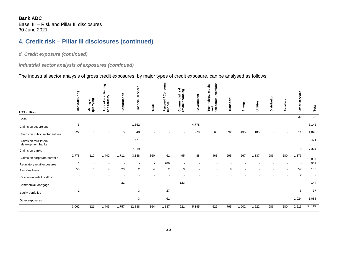Basel III – Risk and Pillar III disclosures 30 June 2021

# **4. Credit risk – Pillar III disclosures (continued)**

*d. Credit exposure (continued)*

*Industrial sector analysis of exposures (continued)*

The industrial sector analysis of gross credit exposures, by major types of credit exposure, can be analysed as follows:

| US\$ million                                | Manufacturing            | and<br>quarrying<br>Mining | fishing<br>Agriculture,<br>and forestry | Construction | services<br>Financial | Trade | Consumer<br>Personal /<br>finance | Commercial real<br>estate financing | Government | nications<br>media<br><b>Technology,</b><br>っ<br><b>Compo</b><br>and<br>telec | Transport | Energy | Utilities | Distribution | Retailers | services<br>Other        | Total          |
|---------------------------------------------|--------------------------|----------------------------|-----------------------------------------|--------------|-----------------------|-------|-----------------------------------|-------------------------------------|------------|-------------------------------------------------------------------------------|-----------|--------|-----------|--------------|-----------|--------------------------|----------------|
| Cash                                        | $\overline{\phantom{a}}$ |                            |                                         | $\sim$       |                       |       |                                   |                                     |            |                                                                               |           |        |           |              |           | 32                       | 32             |
| Claims on sovereigns                        | 5                        |                            |                                         | $\sim$       | ,362                  |       |                                   |                                     | 4,778      |                                                                               |           |        |           |              |           | $\overline{\phantom{a}}$ | 6,145          |
| Claims on public sector entities            | 222                      | 8                          |                                         | 5            | 540                   |       |                                   |                                     | 279        | 63                                                                            | 92        | 435    | 185       |              |           | 11                       | 1,840          |
| Claims on multilateral<br>development banks |                          |                            |                                         |              | 471                   |       |                                   |                                     |            |                                                                               |           |        |           |              |           |                          | 471            |
| Claims on banks                             |                          |                            |                                         |              | 7,319                 |       |                                   |                                     |            |                                                                               |           |        |           |              |           | 5                        | 7,324          |
| Claims on corporate portfolio               | 2,778                    | 110                        | 1,442                                   | 1,711        | 3,138                 | 360   | 61                                | 495                                 | 88         | 463                                                                           | 695       | 567    | 1,337     | 986          | 280       | 1,376                    | 15,887         |
| Regulatory retail exposures                 | -1                       |                            |                                         |              |                       |       | 986                               |                                     |            |                                                                               |           |        |           |              |           |                          | 987            |
| Past due loans                              | 55                       | 3                          | 4                                       | 20           | $\overline{2}$        | 4     | $\overline{2}$                    | 3                                   |            |                                                                               | 8         |        |           |              |           | 57                       | 158            |
| Residential retail portfolio                |                          |                            |                                         |              |                       |       |                                   |                                     |            |                                                                               |           |        |           |              |           | $\sqrt{2}$               | $\overline{2}$ |
| <b>Commercial Mortgage</b>                  |                          |                            |                                         | 21           |                       |       |                                   | 123                                 |            |                                                                               |           |        |           |              |           | $\blacksquare$           | 144            |
| Equity portfolios                           | 1                        |                            |                                         |              | 3                     |       | 27                                |                                     |            |                                                                               |           |        |           |              |           | 6                        | 37             |
| Other exposures                             |                          |                            |                                         |              | 3                     |       | 61                                |                                     |            |                                                                               |           |        |           |              | ٠         | 1,024                    | 1,088          |
|                                             | 3,062                    | 121                        | 1,446                                   | 1,757        | 12,838                | 364   | 1,137                             | 621                                 | 5,145      | 526                                                                           | 795       | 1,002  | 1,522     | 986          | 280       | 2,513                    | 34,115         |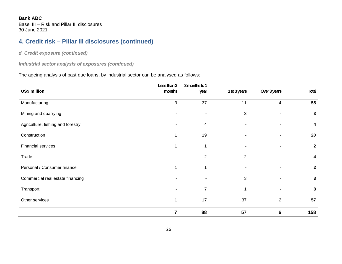Basel III – Risk and Pillar III disclosures 30 June 2021

# **4. Credit risk – Pillar III disclosures (continued)**

### *d. Credit exposure (continued)*

*Industrial sector analysis of exposures (continued)*

#### The ageing analysis of past due loans, by industrial sector can be analysed as follows:

|                                   | Less than 3    | 3 months to 1            |                |                |                |
|-----------------------------------|----------------|--------------------------|----------------|----------------|----------------|
| US\$ million                      | months         | year                     | 1 to 3 years   | Over 3 years   | <b>Total</b>   |
| Manufacturing                     | 3              | 37                       | 11             | 4              | 55             |
| Mining and quarrying              |                | $\overline{\phantom{a}}$ | $\sqrt{3}$     |                | $\mathbf{3}$   |
| Agriculture, fishing and forestry |                | $\overline{\mathbf{4}}$  |                |                | 4              |
| Construction                      | 1              | 19                       |                |                | 20             |
| <b>Financial services</b>         | 1              | 1                        |                |                | $\overline{2}$ |
| Trade                             |                | 2                        | $\overline{2}$ |                | 4              |
| Personal / Consumer finance       | 1              | 1                        |                |                | $\mathbf{2}$   |
| Commercial real estate financing  |                |                          | $\mathbf{3}$   |                | $\mathbf{3}$   |
| Transport                         |                | $\overline{7}$           | 1              |                | 8              |
| Other services                    | 1              | 17                       | 37             | $\overline{2}$ | 57             |
|                                   | $\overline{7}$ | 88                       | 57             | 6              | 158            |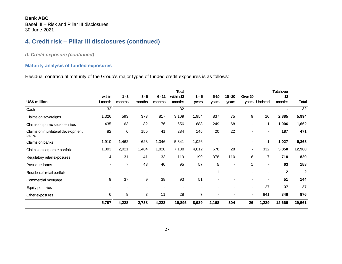Basel III – Risk and Pillar III disclosures 30 June 2021

# **4. Credit risk – Pillar III disclosures (continued)**

*d. Credit exposure (continued)*

#### **Maturity analysis of funded exposures**

Residual contractual maturity of the Group's major types of funded credit exposures is as follows:

|                                             |                          |                   |                          |                    | <b>Total</b>        |                          |                   |                    |                  |                          | <b>Total over</b> |              |
|---------------------------------------------|--------------------------|-------------------|--------------------------|--------------------|---------------------|--------------------------|-------------------|--------------------|------------------|--------------------------|-------------------|--------------|
| US\$ million                                | within<br>1 month        | $1 - 3$<br>months | $3 - 6$<br>months        | $6 - 12$<br>months | within 12<br>months | $1 - 5$<br>years         | $5 - 10$<br>years | $10 - 20$<br>years | Over 20<br>years | <b>Undated</b>           | 12<br>months      | <b>Total</b> |
|                                             | 32                       | $\blacksquare$    |                          |                    | 32                  | $\overline{\phantom{a}}$ |                   |                    |                  |                          |                   | 32           |
| Cash                                        |                          |                   |                          |                    |                     |                          |                   |                    |                  |                          |                   |              |
| Claims on sovereigns                        | 1,326                    | 593               | 373                      | 817                | 3,109               | 1,954                    | 837               | 75                 | 9                | 10                       | 2,885             | 5,994        |
| Claims on public sector entities            | 435                      | 63                | 82                       | 76                 | 656                 | 688                      | 249               | 68                 |                  | 1                        | 1,006             | 1,662        |
| Claims on multilateral development<br>banks | 82                       | 6                 | 155                      | 41                 | 284                 | 145                      | 20                | 22                 |                  | $\blacksquare$           | 187               | 471          |
| Claims on banks                             | 1,910                    | 1,462             | 623                      | 1,346              | 5,341               | 1,026                    |                   |                    |                  | 1                        | 1,027             | 6,368        |
| Claims on corporate portfolio               | 1,893                    | 2,021             | 1,404                    | 1,820              | 7,138               | 4,812                    | 678               | 28                 |                  | 332                      | 5,850             | 12,988       |
| Regulatory retail exposures                 | 14                       | 31                | 41                       | 33                 | 119                 | 199                      | 378               | 110                | 16               | $\overline{7}$           | 710               | 829          |
| Past due loans                              | $\overline{\phantom{a}}$ | 7                 | 48                       | 40                 | 95                  | 57                       | 5                 |                    |                  | $\overline{\phantom{a}}$ | 63                | 158          |
| Residential retail portfolio                |                          |                   |                          |                    |                     |                          |                   | 1                  |                  |                          | $\mathbf 2$       | $\mathbf{2}$ |
| Commercial mortgage                         | 9                        | 37                | 9                        | 38                 | 93                  | 51                       |                   |                    |                  |                          | 51                | 144          |
| Equity portfolios                           |                          |                   | $\overline{\phantom{a}}$ |                    |                     |                          |                   |                    | ٠                | 37                       | 37                | 37           |
| Other exposures                             | 6                        | 8                 | 3                        | 11                 | 28                  | 7                        |                   |                    |                  | 841                      | 848               | 876          |
|                                             | 5,707                    | 4,228             | 2,738                    | 4,222              | 16,895              | 8,939                    | 2,168             | 304                | 26               | 1,229                    | 12,666            | 29,561       |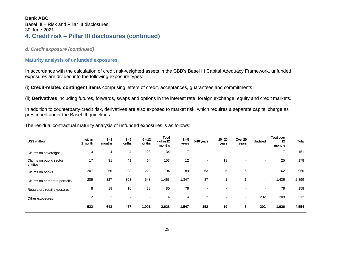#### Basel III – Risk and Pillar III disclosures 30 June 2021 **4. Credit risk – Pillar III disclosures (continued)**

#### *d. Credit exposure (continued)*

#### **Maturity analysis of unfunded exposures**

In accordance with the calculation of credit risk-weighted assets in the CBB's Basel III Capital Adequacy Framework, unfunded exposures are divided into the following exposure types:

(i) **Credit-related contingent items** comprising letters of credit, acceptances, guarantees and commitments.

(ii) **Derivatives** including futures, forwards, swaps and options in the interest rate, foreign exchange, equity and credit markets.

In addition to counterparty credit risk, derivatives are also exposed to market risk, which requires a separate capital charge as prescribed under the Basel III guidelines.

The residual contractual maturity analysis of unfunded exposures is as follows:

| US\$ million                        | within<br>1 month | $1 - 3$<br>months | $3 - 6$<br>months | $6 - 12$<br>months       | <b>Total</b><br>within 12<br>months | $1 - 5$<br>years | 5-10 years     | $10 - 20$<br>years | Over 20<br>years         | <b>Undated</b> | <b>Total over</b><br>12<br>months | <b>Total</b> |
|-------------------------------------|-------------------|-------------------|-------------------|--------------------------|-------------------------------------|------------------|----------------|--------------------|--------------------------|----------------|-----------------------------------|--------------|
| Claims on sovereigns                | 3                 | 4                 | 4                 | 123                      | 134                                 | 17               |                |                    |                          |                | 17                                | 151          |
| Claims on public sector<br>entities | 17                | 31                | 41                | 64                       | 153                                 | 12               | $\blacksquare$ | 13                 | $\overline{\phantom{a}}$ | $\sim$         | 25                                | 178          |
| Claims on banks                     | 207               | 266               | 93                | 228                      | 794                                 | 89               | 63             | 5                  | 5                        | $\sim$         | 162                               | 956          |
| Claims on corporate portfolio       | 285               | 327               | 303               | 548                      | 1,463                               | 1,347            | 87             |                    |                          | $\sim$         | 1,436                             | 2,899        |
| Regulatory retail exposures         | 8                 | 18                | 16                | 38                       | 80                                  | 78               | $\blacksquare$ |                    |                          | $\blacksquare$ | 78                                | 158          |
| Other exposures                     | $\overline{2}$    | 2                 | ۰                 | $\overline{\phantom{0}}$ | 4                                   | 4                | 2              | $\,$ $\,$          | $\blacksquare$           | 202            | 208                               | 212          |
|                                     | 522               | 648               | 457               | 1,001                    | 2,628                               | 1,547            | 152            | 19                 | 6                        | 202            | 1,926                             | 4,554        |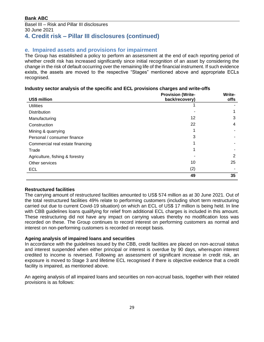#### Basel III – Risk and Pillar III disclosures 30 June 2021 **4. Credit risk – Pillar III disclosures (continued)**

### **e. Impaired assets and provisions for impairment**

The Group has established a policy to perform an assessment at the end of each reporting period of whether credit risk has increased significantly since initial recognition of an asset by considering the change in the risk of default occurring over the remaining life of the financial instrument. If such evidence exists, the assets are moved to the respective "Stages" mentioned above and appropriate ECLs recognised.

#### **Industry sector analysis of the specific and ECL provisions charges and write-offs**

|                                  | <b>Provision (Write-</b> | Write- |
|----------------------------------|--------------------------|--------|
| US\$ million                     | back/recovery)           | offs   |
| <b>Utilities</b>                 |                          |        |
| <b>Distribution</b>              |                          |        |
| Manufacturing                    | 12                       | 3      |
| Construction                     | 22                       | 4      |
| Mining & quarrying               |                          |        |
| Personal / consumer finance      | 3                        |        |
| Commercial real estate financing |                          |        |
| Trade                            |                          |        |
| Agriculture, fishing & forestry  |                          | 2      |
| Other services                   | 10                       | 25     |
| <b>ECL</b>                       | (2)                      |        |
|                                  | 49                       | 35     |

#### **Restructured facilities**

The carrying amount of restructured facilities amounted to US\$ 574 million as at 30 June 2021. Out of the total restructured facilities 49% relate to performing customers (including short term restructuring carried out due to current Covid-19 situation) on which an ECL of US\$ 17 million is being held. In line with CBB guidelines loans qualifying for relief from additional ECL charges is included in this amount. These restructuring did not have any impact on carrying values thereby no modification loss was recorded on these. The Group continues to record interest on performing customers as normal and interest on non-performing customers is recorded on receipt basis.

#### **Ageing analysis of impaired loans and securities**

In accordance with the guidelines issued by the CBB, credit facilities are placed on non-accrual status and interest suspended when either principal or interest is overdue by 90 days, whereupon interest credited to income is reversed. Following an assessment of significant increase in credit risk, an exposure is moved to Stage 3 and lifetime ECL recognised if there is objective evidence that a credit facility is impaired, as mentioned above.

An ageing analysis of all impaired loans and securities on non-accrual basis, together with their related provisions is as follows: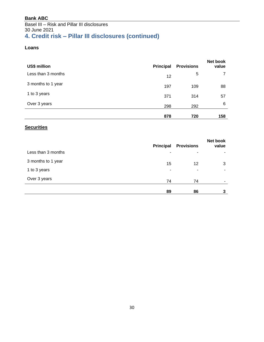### Basel III – Risk and Pillar III disclosures 30 June 2021 **4. Credit risk – Pillar III disclosures (continued)**

#### **Loans**

| US\$ million       | <b>Principal</b> | <b>Provisions</b> | Net book<br>value |
|--------------------|------------------|-------------------|-------------------|
| Less than 3 months | 12               | 5                 |                   |
| 3 months to 1 year | 197              | 109               | 88                |
| 1 to 3 years       | 371              | 314               | 57                |
| Over 3 years       | 298              | 292               | 6                 |
|                    | 878              | 720               | 158               |

### **Securities**

|                    | <b>Principal</b> | <b>Provisions</b> | Net book<br>value |
|--------------------|------------------|-------------------|-------------------|
| Less than 3 months | ۰                | ٠                 |                   |
| 3 months to 1 year | 15               | 12                | 3                 |
| 1 to 3 years       | ٠                | ٠                 |                   |
| Over 3 years       | 74               | 74                |                   |
|                    | 89               | 86                | 3                 |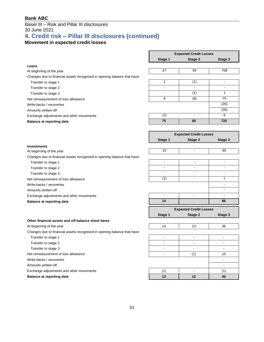#### Basel III – Risk and Pillar III disclosures 30 June 2021

# **4. Credit risk – Pillar III disclosures (continued)**

## **Movement in expected credit losses**

|                                                                          | <b>Expected Credit Losses</b> |                                          |                          |
|--------------------------------------------------------------------------|-------------------------------|------------------------------------------|--------------------------|
|                                                                          | Stage 1                       | Stage 2                                  | Stage 3                  |
| Loans                                                                    |                               |                                          |                          |
| At beginning of the year                                                 | 67                            | 95                                       | 708                      |
| Changes due to financial assets recognised in opening balance that have: |                               |                                          |                          |
| Transfer to stage 1                                                      | 1                             | (1)                                      | $\overline{a}$           |
| Transfer to stage 2                                                      | $\blacksquare$                | $\overline{\phantom{a}}$                 | ä,                       |
| Transfer to stage 3                                                      | $\blacksquare$                | (1)                                      | $\mathbf{1}$             |
| Net remeasurement of loss allowance                                      | 8                             | (8)                                      | 75                       |
| Write-backs / recoveries                                                 |                               |                                          | (35)                     |
| Amounts written-off                                                      |                               |                                          | (35)                     |
| Exchange adjustments and other movements                                 | (1)                           | ÷,                                       | 6                        |
| <b>Balance at reporting date</b>                                         | $\overline{75}$               | 85                                       | 720                      |
|                                                                          |                               |                                          |                          |
|                                                                          | Stage 1                       | <b>Expected Credit Losses</b><br>Stage 2 | Stage 3                  |
| <b>Investments</b>                                                       |                               |                                          |                          |
| At beginning of the year                                                 | 15                            | $\blacksquare$                           | 85                       |
| Changes due to financial assets recognised in opening balance that have: |                               |                                          |                          |
| Transfer to stage 1                                                      | $\blacksquare$                | ä,                                       | $\mathbf{r}$             |
| Transfer to stage 2                                                      |                               | $\blacksquare$                           |                          |
| Transfer to stage 3                                                      | $\blacksquare$                | ۰                                        | $\blacksquare$           |
| Net remeasurement of loss allowance                                      | (1)                           | $\blacksquare$                           | 1                        |
| Write-backs / recoveries                                                 |                               |                                          |                          |
| Amounts written-off                                                      |                               |                                          | $\overline{a}$           |
| Exchange adjustments and other movements                                 | $\blacksquare$                | -                                        | $\overline{\phantom{a}}$ |
| <b>Balance at reporting date</b>                                         | 14                            |                                          | 86                       |
|                                                                          |                               | <b>Expected Credit Losses</b>            |                          |
|                                                                          | Stage 1                       | Stage 2                                  | Stage 3                  |
| Other financial assets and off-balance sheet items                       |                               |                                          |                          |
| At beginning of the year                                                 | 14                            | 13                                       | 36                       |
| Changes due to financial assets recognised in opening balance that have: |                               |                                          |                          |
| Transfer to stage 1                                                      | $\blacksquare$                | $\blacksquare$                           | $\blacksquare$           |
| Transfer to stage 2                                                      |                               |                                          |                          |
| Transfer to stage 3                                                      |                               |                                          |                          |
| Net remeasurement of loss allowance                                      |                               | (1)                                      | 10                       |
| Write-backs / recoveries                                                 |                               | $\blacksquare$                           |                          |
| Amounts written-off                                                      |                               |                                          | $\blacksquare$           |
| Exchange adjustments and other movements                                 | (1)                           | $\blacksquare$                           | (1)                      |
| <b>Balance at reporting date</b>                                         | 13                            | 12                                       | 45                       |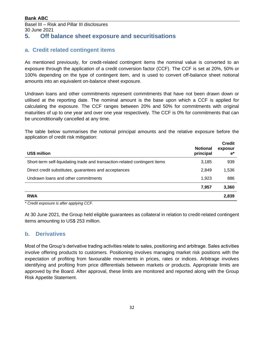## **5. Off balance sheet exposure and securitisations**

### **a. Credit related contingent items**

<span id="page-31-0"></span>As mentioned previously, for credit-related contingent items the nominal value is converted to an exposure through the application of a credit conversion factor (CCF). The CCF is set at 20%, 50% or 100% depending on the type of contingent item, and is used to convert off-balance sheet notional amounts into an equivalent on-balance sheet exposure.

Undrawn loans and other commitments represent commitments that have not been drawn down or utilised at the reporting date. The nominal amount is the base upon which a CCF is applied for calculating the exposure. The CCF ranges between 20% and 50% for commitments with original maturities of up to one year and over one year respectively. The CCF is 0% for commitments that can be unconditionally cancelled at any time.

The table below summarises the notional principal amounts and the relative exposure before the application of credit risk mitigation:

| US\$ million                                                               | <b>Notional</b><br>principal | <b>Credit</b><br>exposur<br>$\mathbf{e}^*$ |
|----------------------------------------------------------------------------|------------------------------|--------------------------------------------|
| Short-term self-liquidating trade and transaction-related contingent items | 3,185                        | 939                                        |
| Direct credit substitutes, guarantees and acceptances                      | 2,849                        | 1,536                                      |
| Undrawn loans and other commitments                                        | 1.923                        | 886                                        |
|                                                                            | 7.957                        | 3,360                                      |
| <b>RWA</b>                                                                 |                              | 2,839                                      |

*\* Credit exposure is after applying CCF.*

At 30 June 2021, the Group held eligible guarantees as collateral in relation to credit-related contingent items amounting to US\$ 253 million.

#### **b. Derivatives**

Most of the Group's derivative trading activities relate to sales, positioning and arbitrage. Sales activities involve offering products to customers. Positioning involves managing market risk positions with the expectation of profiting from favourable movements in prices, rates or indices. Arbitrage involves identifying and profiting from price differentials between markets or products. Appropriate limits are approved by the Board. After approval, these limits are monitored and reported along with the Group Risk Appetite Statement.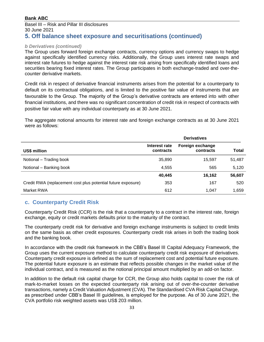#### Basel III – Risk and Pillar III disclosures 30 June 2021 **5. Off balance sheet exposure and securitisations (continued)**

#### *b Derivatives (continued)*

The Group uses forward foreign exchange contracts, currency options and currency swaps to hedge against specifically identified currency risks. Additionally, the Group uses interest rate swaps and interest rate futures to hedge against the interest rate risk arising from specifically identified loans and securities bearing fixed interest rates. The Group participates in both exchange-traded and over-thecounter derivative markets.

Credit risk in respect of derivative financial instruments arises from the potential for a counterparty to default on its contractual obligations, and is limited to the positive fair value of instruments that are favourable to the Group. The majority of the Group's derivative contracts are entered into with other financial institutions, and there was no significant concentration of credit risk in respect of contracts with positive fair value with any individual counterparty as at 30 June 2021.

The aggregate notional amounts for interest rate and foreign exchange contracts as at 30 June 2021 were as follows:

|                                                              | <b>Derivatives</b>         |                               |              |
|--------------------------------------------------------------|----------------------------|-------------------------------|--------------|
| US\$ million                                                 | Interest rate<br>contracts | Foreign exchange<br>contracts | <b>Total</b> |
| Notional – Trading book                                      | 35,890                     | 15,597                        | 51,487       |
| Notional - Banking book                                      | 4,555                      | 565                           | 5,120        |
|                                                              | 40,445                     | 16,162                        | 56,607       |
| Credit RWA (replacement cost plus potential future exposure) | 353                        | 167                           | 520          |
| Market RWA                                                   | 612                        | 1,047                         | 1,659        |

#### **c. Counterparty Credit Risk**

Counterparty Credit Risk (CCR) is the risk that a counterparty to a contract in the interest rate, foreign exchange, equity or credit markets defaults prior to the maturity of the contract.

The counterparty credit risk for derivative and foreign exchange instruments is subject to credit limits on the same basis as other credit exposures. Counterparty credit risk arises in both the trading book and the banking book.

In accordance with the credit risk framework in the CBB's Basel III Capital Adequacy Framework, the Group uses the current exposure method to calculate counterparty credit risk exposure of derivatives. Counterparty credit exposure is defined as the sum of replacement cost and potential future exposure. The potential future exposure is an estimate that reflects possible changes in the market value of the individual contract, and is measured as the notional principal amount multiplied by an add-on factor.

In addition to the default risk capital charge for CCR, the Group also holds capital to cover the risk of mark-to-market losses on the expected counterparty risk arising out of over-the-counter derivative transactions, namely a Credit Valuation Adjustment (CVA). The Standardised CVA Risk Capital Charge, as prescribed under CBB's Basel III guidelines, is employed for the purpose. As of 30 June 2021, the CVA portfolio risk weighted assets was US\$ 203 million.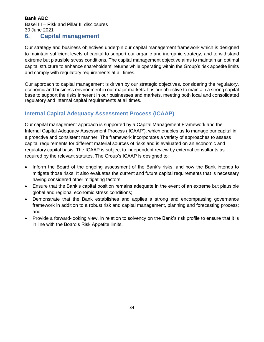#### Basel III – Risk and Pillar III disclosures 30 June 2021

### **6. Capital management**

<span id="page-33-0"></span>Our strategy and business objectives underpin our capital management framework which is designed to maintain sufficient levels of capital to support our organic and inorganic strategy, and to withstand extreme but plausible stress conditions. The capital management objective aims to maintain an optimal capital structure to enhance shareholders' returns while operating within the Group's risk appetite limits and comply with regulatory requirements at all times.

Our approach to capital management is driven by our strategic objectives, considering the regulatory, economic and business environment in our major markets. It is our objective to maintain a strong capital base to support the risks inherent in our businesses and markets, meeting both local and consolidated regulatory and internal capital requirements at all times.

### **Internal Capital Adequacy Assessment Process (ICAAP)**

Our capital management approach is supported by a Capital Management Framework and the Internal Capital Adequacy Assessment Process ('ICAAP'), which enables us to manage our capital in a proactive and consistent manner. The framework incorporates a variety of approaches to assess capital requirements for different material sources of risks and is evaluated on an economic and regulatory capital basis. The ICAAP is subject to independent review by external consultants as required by the relevant statutes. The Group's ICAAP is designed to:

- Inform the Board of the ongoing assessment of the Bank's risks, and how the Bank intends to mitigate those risks. It also evaluates the current and future capital requirements that is necessary having considered other mitigating factors;
- Ensure that the Bank's capital position remains adequate in the event of an extreme but plausible global and regional economic stress conditions;
- Demonstrate that the Bank establishes and applies a strong and encompassing governance framework in addition to a robust risk and capital management, planning and forecasting process; and
- Provide a forward-looking view, in relation to solvency on the Bank's risk profile to ensure that it is in line with the Board's Risk Appetite limits.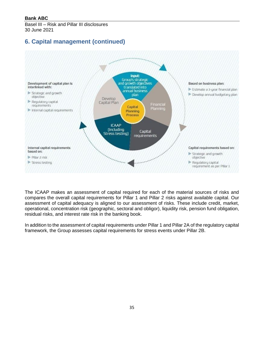Basel III – Risk and Pillar III disclosures 30 June 2021

# **6. Capital management (continued)**



The ICAAP makes an assessment of capital required for each of the material sources of risks and compares the overall capital requirements for Pillar 1 and Pillar 2 risks against available capital. Our assessment of capital adequacy is aligned to our assessment of risks. These include credit, market, operational, concentration risk (geographic, sectoral and obligor), liquidity risk, pension fund obligation, residual risks, and interest rate risk in the banking book.

In addition to the assessment of capital requirements under Pillar 1 and Pillar 2A of the regulatory capital framework, the Group assesses capital requirements for stress events under Pillar 2B.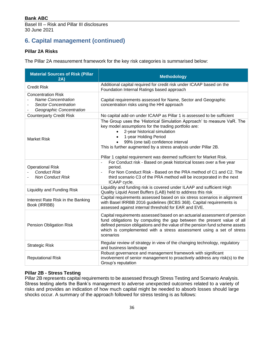# **6. Capital management (continued)**

#### **Pillar 2A Risks**

The Pillar 2A measurement framework for the key risk categories is summarised below:

| <b>Material Sources of Risk (Pillar</b><br>2A)                                                                    | <b>Methodology</b>                                                                                                                                                                                                                                                                                                                  |
|-------------------------------------------------------------------------------------------------------------------|-------------------------------------------------------------------------------------------------------------------------------------------------------------------------------------------------------------------------------------------------------------------------------------------------------------------------------------|
| <b>Credit Risk</b>                                                                                                | Additional capital required for credit risk under ICAAP based on the<br>Foundation Internal Ratings based approach                                                                                                                                                                                                                  |
| <b>Concentration Risk</b><br><b>Name Concentration</b><br><b>Sector Concentration</b><br>Geographic Concentration | Capital requirements assessed for Name, Sector and Geographic<br>concentration risks using the HHI approach                                                                                                                                                                                                                         |
| <b>Counterparty Credit Risk</b>                                                                                   | No capital add-on under ICAAP as Pillar 1 is assessed to be sufficient                                                                                                                                                                                                                                                              |
| <b>Market Risk</b>                                                                                                | The Group uses the 'Historical Simulation Approach' to measure VaR. The<br>key model assumptions for the trading portfolio are:<br>2-year historical simulation<br>1-year Holding Period<br>99% (one tail) confidence interval<br>This is further augmented by a stress analysis under Pillar 2B.                                   |
| <b>Operational Risk</b><br><b>Conduct Risk</b><br><b>Non Conduct Risk</b>                                         | Pillar 1 capital requirement was deemed sufficient for Market Risk.<br>For Conduct risk - Based on peak historical losses over a five year<br>$\blacksquare$<br>period.<br>For Non Conduct Risk - Based on the PRA method of C1 and C2. The<br>third scenario C3 of the PRA method will be incorporated in the next<br>ICAAP cycle. |
| <b>Liquidity and Funding Risk</b>                                                                                 | Liquidity and funding risk is covered under ILAAP and sufficient High<br>Quality Liquid Asset Buffers (LAB) held to address this risk                                                                                                                                                                                               |
| Interest Rate Risk in the Banking<br>Book (IRRBB)                                                                 | Capital requirements assessed based on six stress scenarios in alignment<br>with Basel IRRBB 2016 guidelines (BCBS 368). Capital requirements is<br>assessed against internal threshold for EAR and EVE.                                                                                                                            |
| <b>Pension Obligation Risk</b>                                                                                    | Capital requirements assessed based on an actuarial assessment of pension<br>fund obligations by computing the gap between the present value of all<br>defined pension obligations and the value of the pension fund scheme assets<br>which is complemented with a stress assessment using a set of stress<br>scenarios             |
| <b>Strategic Risk</b>                                                                                             | Regular review of strategy in view of the changing technology, regulatory<br>and business landscape                                                                                                                                                                                                                                 |
| <b>Reputational Risk</b>                                                                                          | Robust governance and management framework with significant<br>involvement of senior management to proactively address any risk(s) to the<br>Group's reputation                                                                                                                                                                     |

#### **Pillar 2B - Stress Testing**

Pillar 2B represents capital requirements to be assessed through Stress Testing and Scenario Analysis. Stress testing alerts the Bank's management to adverse unexpected outcomes related to a variety of risks and provides an indication of how much capital might be needed to absorb losses should large shocks occur. A summary of the approach followed for stress testing is as follows: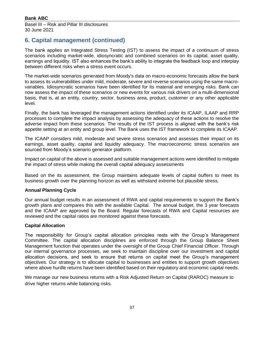## **6. Capital management (continued)**

The bank applies an Integrated Stress Testing (IST) to assess the impact of a continuum of stress scenarios including market-wide, idiosyncratic and combined scenarios on its capital, asset quality, earnings and liquidity. IST also enhances the bank's ability to integrate the feedback loop and interplay between different risks when a stress event occurs.

The market-wide scenarios generated from Moody's data on macro-economic forecasts allow the bank to assess its vulnerabilities under mild, moderate, severe and reverse scenarios using the same macrovariables. Idiosyncratic scenarios have been identified for its material and emerging risks. Bank can now assess the impact of these scenarios or new events for various risk drivers on a multi-dimensional basis, that is, at an entity, country, sector, business area, product, customer or any other applicable level.

Finally, the bank has leveraged the management actions identified under its ICAAP, ILAAP and RRP processes to complete the impact analysis by assessing the adequacy of these actions to resolve the adverse impact from these scenarios. The results of the IST process is aligned with the bank's risk appetite setting at an entity and group level. The Bank uses the IST framework to complete its ICAAP.

The ICAAP considers mild, moderate and severe stress scenarios and assesses their impact on its earnings, asset quality, capital and liquidity adequacy. The macroeconomic stress scenarios are sourced from Moody's scenario generator platform.

Impact on capital of the above is assessed and suitable management actions were identified to mitigate the impact of stress while making the overall capital adequacy assessments

Based on the its assessment, the Group maintains adequate levels of capital buffers to meet its business growth over the planning horizon as well as withstand extreme but plausible stress.

#### **Annual Planning Cycle**

Our annual budget results in an assessment of RWA and capital requirements to support the Bank's growth plans and compares this with the available Capital. The annual budget, the 3 year forecasts and the ICAAP are approved by the Board. Regular forecasts of RWA and Capital resources are reviewed and the capital ratios are monitored against these forecasts.

#### **Capital Allocation**

The responsibility for Group's capital allocation principles rests with the Group's Management Committee. The capital allocation disciplines are enforced through the Group Balance Sheet Management function that operates under the oversight of the Group Chief Financial Officer. Through our internal governance processes, we seek to maintain discipline over our investment and capital allocation decisions, and seek to ensure that returns on capital meet the Group's management objectives. Our strategy is to allocate capital to businesses and entities to support growth objectives where above hurdle returns have been identified based on their regulatory and economic capital needs.

We manage our new business returns with a Risk Adjusted Return on Capital (RAROC) measure to drive higher returns while balancing risks.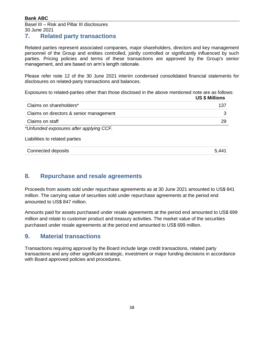Basel III – Risk and Pillar III disclosures 30 June 2021

### **7. Related party transactions**

<span id="page-37-0"></span>Related parties represent associated companies, major shareholders, directors and key management personnel of the Group and entities controlled, jointly controlled or significantly influenced by such parties. Pricing policies and terms of these transactions are approved by the Group's senior management, and are based on arm's length rationale.

Please refer note 12 of the 30 June 2021 interim condensed consolidated financial statements for disclosures on related-party transactions and balances.

Exposures to related-parties other than those disclosed in the above mentioned note are as follows: **US \$ Millions**

|                                         | OU J MIIIIUIS |
|-----------------------------------------|---------------|
| Claims on shareholders*                 | 137           |
| Claims on directors & senior management |               |
| Claims on staff                         | 29            |
| *Unfunded exposures after applying CCF. |               |

#### Liabilities to related parties

| Connected deposits | 5,441 |
|--------------------|-------|
|                    |       |

### **8. Repurchase and resale agreements**

<span id="page-37-1"></span>Proceeds from assets sold under repurchase agreements as at 30 June 2021 amounted to US\$ 841 million. The carrying value of securities sold under repurchase agreements at the period end amounted to US\$ 847 million.

Amounts paid for assets purchased under resale agreements at the period end amounted to US\$ 699 million and relate to customer product and treasury activities. The market value of the securities purchased under resale agreements at the period end amounted to US\$ 699 million.

### **9. Material transactions**

<span id="page-37-2"></span>Transactions requiring approval by the Board include large credit transactions, related party transactions and any other significant strategic, investment or major funding decisions in accordance with Board approved policies and procedures.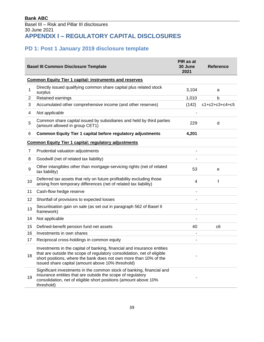# **PD 1: Post 1 January 2019 disclosure template**

<span id="page-38-1"></span><span id="page-38-0"></span>

|    | <b>Basel III Common Disclosure Template</b>                                                                                                                                                                                                                                  | PIR as at<br>30 June<br>2021 | <b>Reference</b>         |
|----|------------------------------------------------------------------------------------------------------------------------------------------------------------------------------------------------------------------------------------------------------------------------------|------------------------------|--------------------------|
|    | <b>Common Equity Tier 1 capital: instruments and reserves</b>                                                                                                                                                                                                                |                              |                          |
| 1  | Directly issued qualifying common share capital plus related stock<br>surplus                                                                                                                                                                                                | 3,104                        | a                        |
| 2  | Retained earnings                                                                                                                                                                                                                                                            | 1,010                        | b                        |
| 3  | Accumulated other comprehensive income (and other reserves)                                                                                                                                                                                                                  | (142)                        | $c1 + c2 + c3 + c4 + c5$ |
| 4  | Not applicable                                                                                                                                                                                                                                                               |                              |                          |
| 5  | Common share capital issued by subsidiaries and held by third parties<br>(amount allowed in group CET1)                                                                                                                                                                      | 229                          | d                        |
| 6  | <b>Common Equity Tier 1 capital before regulatory adjustments</b>                                                                                                                                                                                                            | 4,201                        |                          |
|    | <b>Common Equity Tier 1 capital: regulatory adjustments</b>                                                                                                                                                                                                                  |                              |                          |
| 7  | Prudential valuation adjustments                                                                                                                                                                                                                                             |                              |                          |
| 8  | Goodwill (net of related tax liability)                                                                                                                                                                                                                                      |                              |                          |
| 9  | Other intangibles other than mortgage-servicing rights (net of related<br>tax liability)                                                                                                                                                                                     | 53                           | е                        |
| 10 | Deferred tax assets that rely on future profitability excluding those<br>arising from temporary differences (net of related tax liability)                                                                                                                                   | 4                            | f                        |
| 11 | Cash-flow hedge reserve                                                                                                                                                                                                                                                      | ä,                           |                          |
| 12 | Shortfall of provisions to expected losses                                                                                                                                                                                                                                   |                              |                          |
| 13 | Securitisation gain on sale (as set out in paragraph 562 of Basel II<br>framework)                                                                                                                                                                                           | ۰                            |                          |
| 14 | Not applicable                                                                                                                                                                                                                                                               | ٠                            |                          |
| 15 | Defined-benefit pension fund net assets                                                                                                                                                                                                                                      | 40                           | c <sub>6</sub>           |
| 16 | Investments in own shares                                                                                                                                                                                                                                                    |                              |                          |
| 17 | Reciprocal cross-holdings in common equity                                                                                                                                                                                                                                   | ٠                            |                          |
| 18 | Investments in the capital of banking, financial and insurance entities<br>that are outside the scope of regulatory consolidation, net of eligible<br>short positions, where the bank does not own more than 10% of the<br>issued share capital (amount above 10% threshold) |                              |                          |
| 19 | Significant investments in the common stock of banking, financial and<br>insurance entities that are outside the scope of regulatory<br>consolidation, net of eligible short positions (amount above 10%<br>threshold)                                                       |                              |                          |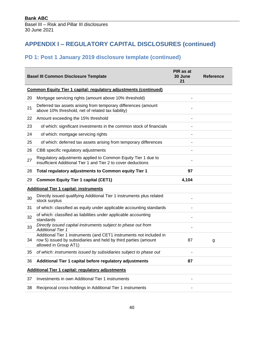# **PD 1: Post 1 January 2019 disclosure template (continued)**

|                                                   | <b>Basel III Common Disclosure Template</b>                                                                                                                     | PIR as at<br>30 June<br>21 | <b>Reference</b> |  |
|---------------------------------------------------|-----------------------------------------------------------------------------------------------------------------------------------------------------------------|----------------------------|------------------|--|
|                                                   | <b>Common Equity Tier 1 capital: regulatory adjustments (continued)</b>                                                                                         |                            |                  |  |
| 20                                                | Mortgage servicing rights (amount above 10% threshold)                                                                                                          |                            |                  |  |
| 21                                                | Deferred tax assets arising from temporary differences (amount<br>above 10% threshold, net of related tax liability)                                            |                            |                  |  |
| 22                                                | Amount exceeding the 15% threshold                                                                                                                              |                            |                  |  |
| 23                                                | of which: significant investments in the common stock of financials                                                                                             |                            |                  |  |
| 24                                                | of which: mortgage servicing rights                                                                                                                             |                            |                  |  |
| 25                                                | of which: deferred tax assets arising from temporary differences                                                                                                |                            |                  |  |
| 26                                                | CBB specific regulatory adjustments                                                                                                                             |                            |                  |  |
| 27                                                | Regulatory adjustments applied to Common Equity Tier 1 due to<br>insufficient Additional Tier 1 and Tier 2 to cover deductions                                  |                            |                  |  |
| 28                                                | Total regulatory adjustments to Common equity Tier 1                                                                                                            | 97                         |                  |  |
| 29                                                | <b>Common Equity Tier 1 capital (CET1)</b>                                                                                                                      | 4,104                      |                  |  |
|                                                   | <b>Additional Tier 1 capital: instruments</b>                                                                                                                   |                            |                  |  |
| 30                                                | Directly issued qualifying Additional Tier 1 instruments plus related<br>stock surplus                                                                          |                            |                  |  |
| 31                                                | of which: classified as equity under applicable accounting standards                                                                                            |                            |                  |  |
| 32                                                | of which: classified as liabilities under applicable accounting<br>standards                                                                                    |                            |                  |  |
| 33                                                | Directly issued capital instruments subject to phase out from<br><b>Additional Tier 1</b>                                                                       |                            |                  |  |
| 34                                                | Additional Tier 1 instruments (and CET1 instruments not included in<br>row 5) issued by subsidiaries and held by third parties (amount<br>allowed in Group AT1) | 87                         | g                |  |
| 35                                                | of which: instruments issued by subsidiaries subject to phase out                                                                                               |                            |                  |  |
| 36                                                | Additional Tier 1 capital before regulatory adjustments                                                                                                         | 87                         |                  |  |
| Additional Tier 1 capital: regulatory adjustments |                                                                                                                                                                 |                            |                  |  |
| 37                                                | Investments in own Additional Tier 1 instruments                                                                                                                |                            |                  |  |
| 38                                                | Reciprocal cross-holdings in Additional Tier 1 instruments                                                                                                      |                            |                  |  |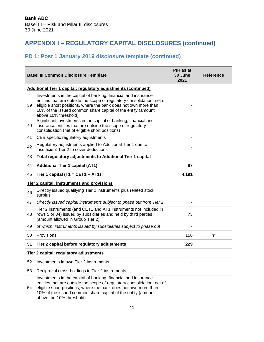## **PD 1: Post 1 January 2019 disclosure template (continued)**

|    | <b>Basel III Common Disclosure Template</b>                                                                                                                                                                                                                                                              | PIR as at<br>30 June<br>2021 | <b>Reference</b> |  |  |  |
|----|----------------------------------------------------------------------------------------------------------------------------------------------------------------------------------------------------------------------------------------------------------------------------------------------------------|------------------------------|------------------|--|--|--|
|    | Additional Tier 1 capital: regulatory adjustments (continued)                                                                                                                                                                                                                                            |                              |                  |  |  |  |
| 39 | Investments in the capital of banking, financial and insurance<br>entities that are outside the scope of regulatory consolidation, net of<br>eligible short positions, where the bank does not own more than<br>10% of the issued common share capital of the entity (amount<br>above 10% threshold)     |                              |                  |  |  |  |
| 40 | Significant investments in the capital of banking, financial and<br>insurance entities that are outside the scope of regulatory<br>consolidation (net of eligible short positions)                                                                                                                       |                              |                  |  |  |  |
| 41 | CBB specific regulatory adjustments                                                                                                                                                                                                                                                                      |                              |                  |  |  |  |
| 42 | Regulatory adjustments applied to Additional Tier 1 due to<br>insufficient Tier 2 to cover deductions                                                                                                                                                                                                    |                              |                  |  |  |  |
| 43 | Total regulatory adjustments to Additional Tier 1 capital                                                                                                                                                                                                                                                |                              |                  |  |  |  |
| 44 | <b>Additional Tier 1 capital (AT1)</b>                                                                                                                                                                                                                                                                   | 87                           |                  |  |  |  |
| 45 | Tier 1 capital (T1 = CET1 + AT1)                                                                                                                                                                                                                                                                         | 4,191                        |                  |  |  |  |
|    | <b>Tier 2 capital: instruments and provisions</b>                                                                                                                                                                                                                                                        |                              |                  |  |  |  |
| 46 | Directly issued qualifying Tier 2 instruments plus related stock<br>surplus                                                                                                                                                                                                                              |                              |                  |  |  |  |
| 47 | Directly issued capital instruments subject to phase out from Tier 2                                                                                                                                                                                                                                     |                              |                  |  |  |  |
| 48 | Tier 2 instruments (and CET1 and AT1 instruments not included in<br>rows 5 or 34) issued by subsidiaries and held by third parties<br>(amount allowed in Group Tier 2)                                                                                                                                   | 73                           |                  |  |  |  |
| 49 | of which: instruments issued by subsidiaries subject to phase out                                                                                                                                                                                                                                        |                              |                  |  |  |  |
| 50 | Provisions                                                                                                                                                                                                                                                                                               | 156                          | h*               |  |  |  |
| 51 | Tier 2 capital before regulatory adjustments                                                                                                                                                                                                                                                             | 229                          |                  |  |  |  |
|    | Tier 2 capital: regulatory adjustments                                                                                                                                                                                                                                                                   |                              |                  |  |  |  |
|    | 52 Investments in own Tier 2 instruments                                                                                                                                                                                                                                                                 |                              |                  |  |  |  |
| 53 | Reciprocal cross-holdings in Tier 2 instruments                                                                                                                                                                                                                                                          |                              |                  |  |  |  |
| 54 | Investments in the capital of banking, financial and insurance<br>entities that are outside the scope of regulatory consolidation, net of<br>eligible short positions, where the bank does not own more than<br>10% of the issued common share capital of the entity (amount<br>above the 10% threshold) |                              |                  |  |  |  |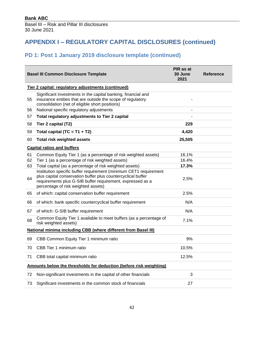# **PD 1: Post 1 January 2019 disclosure template (continued)**

|    | <b>Basel III Common Disclosure Template</b>                                                                                                                                                                                            | PIR as at<br>30 June<br>2021 | Reference |
|----|----------------------------------------------------------------------------------------------------------------------------------------------------------------------------------------------------------------------------------------|------------------------------|-----------|
|    | Tier 2 capital: regulatory adjustments (continued)                                                                                                                                                                                     |                              |           |
| 55 | Significant investments in the capital banking, financial and<br>insurance entities that are outside the scope of regulatory<br>consolidation (net of eligible short positions)                                                        |                              |           |
| 56 | National specific regulatory adjustments                                                                                                                                                                                               |                              |           |
| 57 | Total regulatory adjustments to Tier 2 capital                                                                                                                                                                                         |                              |           |
| 58 | Tier 2 capital (T2)                                                                                                                                                                                                                    | 229                          |           |
| 59 | Total capital (TC = $T1 + T2$ )                                                                                                                                                                                                        | 4,420                        |           |
| 60 | <b>Total risk weighted assets</b>                                                                                                                                                                                                      | 25,505                       |           |
|    | <b>Capital ratios and buffers</b>                                                                                                                                                                                                      |                              |           |
| 61 | Common Equity Tier 1 (as a percentage of risk weighted assets)                                                                                                                                                                         | 16.1%                        |           |
| 62 | Tier 1 (as a percentage of risk weighted assets)                                                                                                                                                                                       | 16.4%                        |           |
| 63 | Total capital (as a percentage of risk weighted assets)                                                                                                                                                                                | 17.3%                        |           |
| 64 | Institution specific buffer requirement (minimum CET1 requirement<br>plus capital conservation buffer plus countercyclical buffer<br>requirements plus G-SIB buffer requirement, expressed as a<br>percentage of risk weighted assets) | 2.5%                         |           |
| 65 | of which: capital conservation buffer requirement                                                                                                                                                                                      | 2.5%                         |           |
| 66 | of which: bank specific countercyclical buffer requirement                                                                                                                                                                             | N/A                          |           |
| 67 | of which: G-SIB buffer requirement                                                                                                                                                                                                     | N/A                          |           |
| 68 | Common Equity Tier 1 available to meet buffers (as a percentage of<br>risk weighted assets)                                                                                                                                            | 7.1%                         |           |
|    | National minima including CBB (where different from Basel III)                                                                                                                                                                         |                              |           |
| 69 | CBB Common Equity Tier 1 minimum ratio                                                                                                                                                                                                 | 9%                           |           |
| 70 | CBB Tier 1 minimum ratio                                                                                                                                                                                                               | 10.5%                        |           |
| 71 | CBB total capital minimum ratio                                                                                                                                                                                                        | 12.5%                        |           |
|    | Amounts below the thresholds for deduction (before risk weighting)                                                                                                                                                                     |                              |           |
| 72 | Non-significant investments in the capital of other financials                                                                                                                                                                         | 3                            |           |
| 73 | Significant investments in the common stock of financials                                                                                                                                                                              | 27                           |           |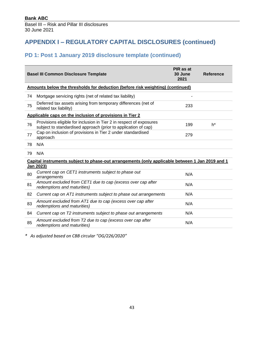## **PD 1: Post 1 January 2019 disclosure template (continued)**

|    | <b>Basel III Common Disclosure Template</b>                                                                                           | PIR as at<br>30 June<br>2021 | <b>Reference</b> |
|----|---------------------------------------------------------------------------------------------------------------------------------------|------------------------------|------------------|
|    | Amounts below the thresholds for deduction (before risk weighting) (continued)                                                        |                              |                  |
| 74 | Mortgage servicing rights (net of related tax liability)                                                                              |                              |                  |
| 75 | Deferred tax assets arising from temporary differences (net of<br>related tax liability)                                              | 233                          |                  |
|    | Applicable caps on the inclusion of provisions in Tier 2                                                                              |                              |                  |
| 76 | Provisions eligible for inclusion in Tier 2 in respect of exposures<br>subject to standardised approach (prior to application of cap) | 199                          | h*               |
| 77 | Cap on inclusion of provisions in Tier 2 under standardised<br>approach                                                               | 279                          |                  |
| 78 | N/A                                                                                                                                   |                              |                  |
| 79 | N/A                                                                                                                                   |                              |                  |
|    | Capital instruments subject to phase-out arrangements (only applicable between 1 Jan 2019 and 1<br>Jan 2023)                          |                              |                  |
| 80 | Current cap on CET1 instruments subject to phase out<br>arrangements                                                                  | N/A                          |                  |
| 81 | Amount excluded from CET1 due to cap (excess over cap after<br>redemptions and maturities)                                            | N/A                          |                  |
| 82 | Current cap on AT1 instruments subject to phase out arrangements                                                                      | N/A                          |                  |
| 83 | Amount excluded from AT1 due to cap (excess over cap after<br>redemptions and maturities)                                             | N/A                          |                  |
| 84 | Current cap on T2 instruments subject to phase out arrangements                                                                       | N/A                          |                  |
| 85 | Amount excluded from T2 due to cap (excess over cap after<br>redemptions and maturities)                                              | N/A                          |                  |

*\* As adjusted based on CBB circular "OG/226/2020"*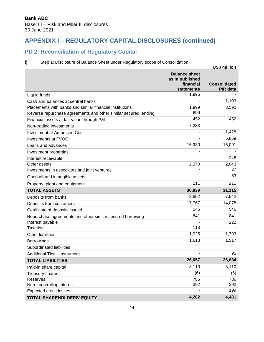### **PD 2: Reconciliation of Regulatory Capital**

#### **i)** Step 1: Disclosure of Balance Sheet under Regulatory scope of Consolidation

<span id="page-43-0"></span>

|                                                                 |                                                                    | <b>US\$ million</b>             |
|-----------------------------------------------------------------|--------------------------------------------------------------------|---------------------------------|
|                                                                 | <b>Balance sheet</b><br>as in published<br>financial<br>statements | <b>Consolidated</b><br>PIR data |
| Liquid funds                                                    | 1,995                                                              |                                 |
| Cash and balances at central banks                              |                                                                    | 1,103                           |
| Placements with banks and similar financial institutions        | 1,999                                                              | 3,590                           |
| Reverse repurchase agreements and other similar secured lending | 699                                                                |                                 |
| Financial assets at fair value through P&L                      | 452                                                                | 452                             |
| Non-trading investments                                         | 7,283                                                              |                                 |
| <b>Investment at Amortised Cost</b>                             |                                                                    | 1,428                           |
| <b>Investments at FVOCI</b>                                     |                                                                    | 5,869                           |
| Loans and advances                                              | 15,930                                                             | 16,091                          |
| Investment properties                                           |                                                                    |                                 |
| Interest receivable                                             |                                                                    | 248                             |
| Other assets                                                    | 2,370                                                              | 2,043                           |
| Investments in associates and joint ventures                    |                                                                    | 27                              |
| Goodwill and intangible assets                                  |                                                                    | 53                              |
| Property, plant and equipment                                   | 211                                                                | 211                             |
| <b>TOTAL ASSETS</b>                                             | 30,939                                                             | 31,115                          |
| Deposits from banks                                             | 3,852                                                              | 7,542                           |
| Deposits from customers                                         | 17,767                                                             | 14,078                          |
| Certificate of deposits issued                                  | 546                                                                | 546                             |
| Repurchase agreements and other similar secured borrowing       | 841                                                                | 841                             |
| Interest payable                                                |                                                                    | 222                             |
| <b>Taxation</b>                                                 | 113                                                                |                                 |
| <b>Other liabilities</b>                                        | 1,925                                                              | 1,793                           |
| <b>Borrowings</b>                                               | 1,613                                                              | 1,517                           |
| Subordinated liabilities                                        |                                                                    |                                 |
| <b>Additional Tier 1 Instrument</b>                             |                                                                    | 95                              |
| <b>TOTAL LIABILITIES</b>                                        | 26,657                                                             | 26,634                          |
| Paid-in share capital                                           | 3,110                                                              | 3,110                           |
| <b>Treasury shares</b>                                          | (6)                                                                | (6)                             |
| Reserves                                                        | 786                                                                | 786                             |
| Non - controlling interest                                      | 392                                                                | 392                             |
| <b>Expected credit losses</b>                                   |                                                                    | 199                             |
| TOTAL SHAREHOLDERS' EQUITY                                      | 4,282                                                              | 4,481                           |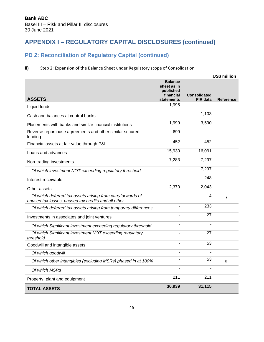## **PD 2: Reconciliation of Regulatory Capital (continued)**

#### **ii)** Step 2: Expansion of the Balance Sheet under Regulatory scope of Consolidation

|                                                                                                                   |                                                         |                     | <b>US\$ million</b> |
|-------------------------------------------------------------------------------------------------------------------|---------------------------------------------------------|---------------------|---------------------|
|                                                                                                                   | <b>Balance</b><br>sheet as in<br>published<br>financial | <b>Consolidated</b> |                     |
| <b>ASSETS</b>                                                                                                     | <b>statements</b>                                       | PIR data            | <b>Reference</b>    |
| Liquid funds                                                                                                      | 1,995                                                   |                     |                     |
| Cash and balances at central banks                                                                                |                                                         | 1,103               |                     |
| Placements with banks and similar financial institutions                                                          | 1,999                                                   | 3,590               |                     |
| Reverse repurchase agreements and other similar secured<br>lending                                                | 699                                                     |                     |                     |
| Financial assets at fair value through P&L                                                                        | 452                                                     | 452                 |                     |
| Loans and advances                                                                                                | 15,930                                                  | 16,091              |                     |
| Non-trading investments                                                                                           | 7,283                                                   | 7,297               |                     |
| Of which investment NOT exceeding regulatory threshold                                                            |                                                         | 7,297               |                     |
| Interest receivable                                                                                               |                                                         | 248                 |                     |
| Other assets                                                                                                      | 2,370                                                   | 2,043               |                     |
| Of which deferred tax assets arising from carryforwards of<br>unused tax losses, unused tax credits and all other |                                                         | 4                   | f                   |
| Of which deferred tax assets arising from temporary differences                                                   |                                                         | 233                 |                     |
| Investments in associates and joint ventures                                                                      |                                                         | 27                  |                     |
| Of which Significant investment exceeding regulatory threshold                                                    |                                                         |                     |                     |
| Of which Significant investment NOT exceeding regulatory<br>threshold                                             |                                                         | 27                  |                     |
| Goodwill and intangible assets                                                                                    |                                                         | 53                  |                     |
| Of which goodwill                                                                                                 |                                                         |                     |                     |
| Of which other intangibles (excluding MSRs) phased in at 100%                                                     |                                                         | 53                  | e                   |
| Of which MSRs                                                                                                     |                                                         |                     |                     |
| Property, plant and equipment                                                                                     | 211                                                     | 211                 |                     |
| <b>TOTAL ASSETS</b>                                                                                               | 30,939                                                  | 31,115              |                     |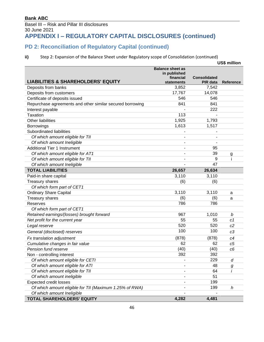#### **Bank ABC** Basel III – Risk and Pillar III disclosures 30 June 2021 **APPENDIX I – REGULATORY CAPITAL DISCLOSURES (continued)**

# **PD 2: Reconciliation of Regulatory Capital (continued)**

#### **ii)** Step 2: Expansion of the Balance Sheet under Regulatory scope of Consolidation (continued)

|                                                           |                                         |                     | US\$ million     |
|-----------------------------------------------------------|-----------------------------------------|---------------------|------------------|
|                                                           | <b>Balance sheet as</b><br>in published |                     |                  |
|                                                           | financial                               | <b>Consolidated</b> |                  |
| <b>LIABILITIES &amp; SHAREHOLDERS' EQUITY</b>             | <b>statements</b>                       | <b>PIR data</b>     | <b>Reference</b> |
| Deposits from banks                                       | 3,852                                   | 7,542               |                  |
| Deposits from customers                                   | 17,767                                  | 14,078              |                  |
| Certificate of deposits issued                            | 546                                     | 546                 |                  |
| Repurchase agreements and other similar secured borrowing | 841                                     | 841                 |                  |
| Interest payable                                          |                                         | 222                 |                  |
| <b>Taxation</b>                                           | 113                                     |                     |                  |
| Other liabilities                                         | 1,925                                   | 1,793               |                  |
| <b>Borrowings</b>                                         | 1,613                                   | 1,517               |                  |
| Subordinated liabilities                                  |                                         |                     |                  |
| Of which amount eligible for TII                          |                                         |                     |                  |
| Of which amount Ineligible                                |                                         |                     |                  |
| <b>Additional Tier 1 Instrument</b>                       | $\blacksquare$                          | 95                  |                  |
| Of which amount eligible for AT1                          |                                         | 39                  | $\overline{g}$   |
| Of which amount eligible for TII                          |                                         | 9                   | j                |
| Of which amount Ineligible                                |                                         | 47                  |                  |
| <b>TOTAL LIABILITIES</b>                                  | 26,657                                  | 26,634              |                  |
| Paid-in share capital                                     | 3,110                                   | 3,110               |                  |
| <b>Treasury shares</b>                                    | (6)                                     | (6)                 |                  |
| Of which form part of CET1                                |                                         |                     |                  |
| <b>Ordinary Share Capital</b>                             | 3,110                                   | 3,110               | a                |
| <b>Treasury shares</b>                                    | (6)                                     | (6)                 | a                |
| <b>Reserves</b>                                           | 786                                     | 786                 |                  |
| Of which form part of CET1                                |                                         |                     |                  |
| Retained earnings/(losses) brought forward                | 967                                     | 1,010               | b                |
| Net profit for the current year                           | 55                                      | 55                  | c1               |
| Legal reserve                                             | 520                                     | 520                 | c2               |
| General (disclosed) reserves                              | 100                                     | 100                 | c3               |
| Fx translation adjustment                                 | (878)                                   | (878)               | c4               |
| Cumulative changes in fair value                          | 62                                      | 62                  | c5               |
| Pension fund reserve                                      | (40)                                    | (40)                | c <sub>6</sub>   |
| Non - controlling interest                                | 392                                     | 392                 |                  |
| Of which amount eligible for CETI                         |                                         | 229                 | d                |
| Of which amount eligible for ATI                          |                                         | 48                  | $\boldsymbol{g}$ |
| Of which amount eligible for TII                          |                                         | 64                  | İ                |
| Of which amount ineligible                                |                                         | 51                  |                  |
| <b>Expected credit losses</b>                             |                                         | 199                 |                  |
| Of which amount eligible for TII (Maximum 1.25% of RWA)   |                                         | 199                 | h                |
| Of which amount Ineligible                                |                                         |                     |                  |
| TOTAL SHAREHOLDERS' EQUITY                                | 4,282                                   | 4,481               |                  |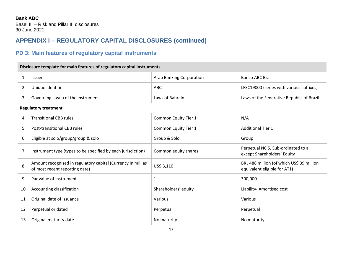Basel III – Risk and Pillar III disclosures 30 June 2021

# **APPENDIX I – REGULATORY CAPITAL DISCLOSURES (continued)**

# **PD 3: Main features of regulatory capital instruments**

### **Disclosure template for main features of regulatory capital instruments**

| Issuer                             | Arab Banking Corporation | <b>Banco ABC Brasil</b>                   |
|------------------------------------|--------------------------|-------------------------------------------|
| Unique identifier                  | ABC                      | LFSC19000 (series with various suffixes)  |
| Governing law(s) of the instrument | Laws of Bahrain          | Laws of the Federative Republic of Brazil |

#### **Regulatory treatment**

<span id="page-46-0"></span>

| 4  | <b>Transitional CBB rules</b>                                                                  | Common Equity Tier 1 | N/A                                                                       |
|----|------------------------------------------------------------------------------------------------|----------------------|---------------------------------------------------------------------------|
| 5  | Post-transitional CBB rules                                                                    | Common Equity Tier 1 | <b>Additional Tier 1</b>                                                  |
| 6  | Eligible at solo/group/group & solo                                                            | Group & Solo         | Group                                                                     |
|    | Instrument type (types to be specified by each jurisdiction)                                   | Common equity shares | Perpetual NC 5, Sub-ordinated to all<br>except Shareholders' Equity       |
| 8  | Amount recognised in regulatory capital (Currency in mil, as<br>of most recent reporting date) | US\$ 3,110           | BRL 488 million (of which US\$ 39 million<br>equivalent eligible for AT1) |
| 9  | Par value of instrument                                                                        | 1                    | 300,000                                                                   |
| 10 | Accounting classification                                                                      | Shareholders' equity | Liability- Amortised cost                                                 |
| 11 | Original date of issuance                                                                      | Various              | <b>Various</b>                                                            |
| 12 | Perpetual or dated                                                                             | Perpetual            | Perpetual                                                                 |
| 13 | Original maturity date                                                                         | No maturity          | No maturity                                                               |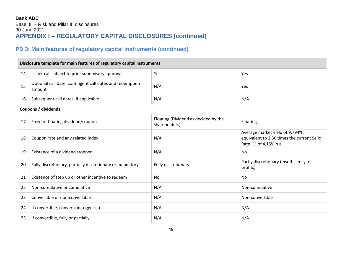### Basel III – Risk and Pillar III disclosures 30 June 2021 **APPENDIX I – REGULATORY CAPITAL DISCLOSURES (continued)**

## **PD 3: Main features of regulatory capital instruments (continued)**

### **Disclosure template for main features of regulatory capital instruments**

| 14 | Issuer call subject to prior supervisory approval                  | Yes | Yes |
|----|--------------------------------------------------------------------|-----|-----|
| 15 | Optional call date, contingent call dates and redemption<br>amount | N/A | Yes |
| 16 | Subsequent call dates, if applicable                               | N/A | N/A |

#### **Coupons / dividends**

| 17 | Fixed or floating dividend/coupon                         | Floating (Dividend as decided by the<br>shareholders) | <b>Floating</b>                                                                                         |
|----|-----------------------------------------------------------|-------------------------------------------------------|---------------------------------------------------------------------------------------------------------|
| 18 | Coupon rate and any related index                         | N/A                                                   | Average market yield of 9,794%,<br>equivalent to 2,36 times the current Selic<br>Rate [1] of 4,15% p.a. |
| 19 | Existence of a dividend stopper                           | N/A                                                   | No                                                                                                      |
| 20 | Fully discretionary, partially discretionary or mandatory | Fully discretionary                                   | Partly discretionary (Insufficiency of<br>profits)                                                      |
| 21 | Existence of step up or other incentive to redeem         | No.                                                   | No                                                                                                      |
| 22 | Non-cumulative or cumulative                              | N/A                                                   | Non-cumulative                                                                                          |
| 23 | Convertible or non-convertible                            | N/A                                                   | Non-convertible                                                                                         |
| 24 | If convertible, conversion trigger (s)                    | N/A                                                   | N/A                                                                                                     |
| 25 | If convertible, fully or partially                        | N/A                                                   | N/A                                                                                                     |